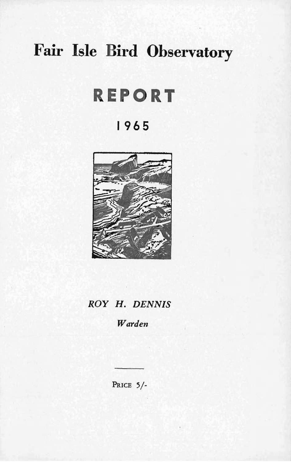# **Fair Isle Bird Observatory**

# **REPORT**

# **1965**



# *ROY* H. *DENNIS*

*Warden* 

PRICE 5/-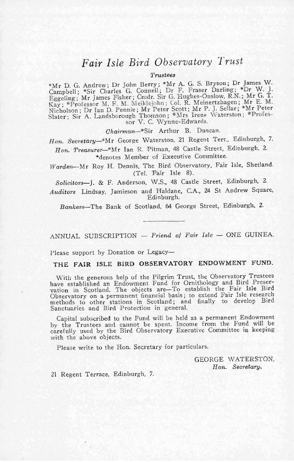## *Fair Isle Bird Observatory Trust*

 $Trustees$ 

\*Mr D. G. Andrew; Dr John Berry; \*Mr A. G. S. Bryson; Dr James W. Campbell; \*Sir Charles G. Connell; Dr F. Fraser Darling; \*Dr W. J. Eggeling; Mr James Fisher; Cmdr. Sir G. Hughes-Onslow, R.N.; Mr. G. T. Kay; \*Professor M. F. M. Meikl ejo hn; Col. R. Meinertzhagen; Mr E. M. Nicholson; Dr Ian D. Pennie; Mr Peter Scott; Mr P. J. Sellar; \*Mr Peter Slater; Sir A. Landsborough Thomson; \*Mrs Irene Waterston ; \*Professor V. C. Wynne-Edwards.

*Chairman-\*Sir* Arthur B. Duncan.

Hon. Secretary-\*Mr George Waterston, 21 Regent Terr., Edinburgh, 7.

*Hon. Treasurer-\*Mr* Ian R. Pitman, 48 Castle Street, Edinburgh. 2. \*denotes Member of Executive Committee.

*Warden*-Mr Roy H. Dennis, The Bird Observatory, Fair Isle, Shetland. (Tel. Fair Isle 8).

Solicitors-J. & F. Anderson, W.S., 48 Castle Street, Edinburgh, 2.

*Auditors* Lindsay, Jamieson and Haldane, CA., 24 St Andrew Square, Edinburgh.

*Ban/cers-The* Bank of Scotland, 64 George Street, Edinburgh, 2.

ANNUAL SUBSCRIPTION - Friend of Fair Isle - ONE GUINEA.

Please support by Donation or Legacy-

**THE FAIR ISLE BIRD OBSERVATORY ENDOWMENT FUND.** 

With the generous help of the Pilgrim Trust, the Observatory Trustees have established an Endowment Fund for Ornithology and Bird Preser-vation in Scotland. The objects are-To establish the Fair Isle Bird Observatory on a permanent financial basis; to extend Fair Isle research methods to other stations in Scotland; and finally to develop Bird Sanctuaries and Bird Protection in general.

Capital subscribed to. the Fund will be held as a permanent Endowment by the Trustees and cannot be spent. Income from the Fund will be carefully used by the Bird Observatory Executive Committee in keeping with the above objects.

Please write to the Hon. Secretary for particulars.

GEORGE WATERSTON, *Hon. Secretary.* 

21 Regent Terrace. Edinburgh, 7.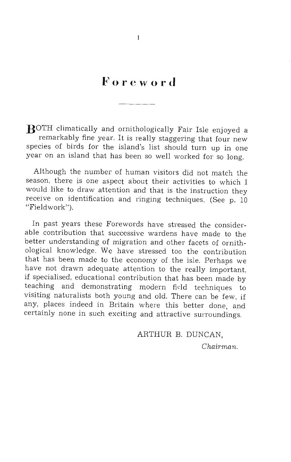# **Foreword**

**BOTH** climatically and ornithologically Fair Isle enjoyed a remarkably fine year. It is really staggering that four new species of birds for the island's list should turn up in one year on an island that has been so well worked for so long.

Although the number of human visitors did not match the season, there is one aspect about their activities to which I would like to draw attention and that is the instruction they receive on identification and ringing techniques. (See p. 10 "Fieldwork").

In past years these Forewords have stressed the considerable contribution that successive wardens have made to the better understanding of migration and other facets of ornithological knowledge. We have stressed too the contribution that has been made to the economy of the isle. Perhaps we have not drawn adequate attention to the really important, if specialised, educational contribution that has been made by teaching and demonstrating modern field techniques to visiting naturalists both young and old. There can be few, if any, places indeed in Britain where this better done, and certainly none in such exciting and attractive surroundings.

> ARTHUR B. DUNCAN, *Chairman.*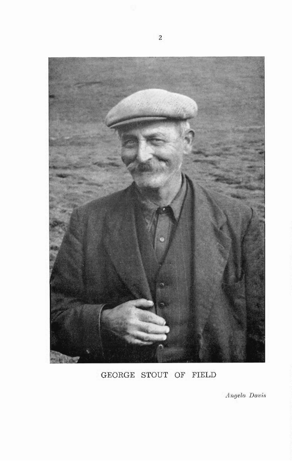

## **GEORGE STOUT OF FIELD**

*Angela Davis*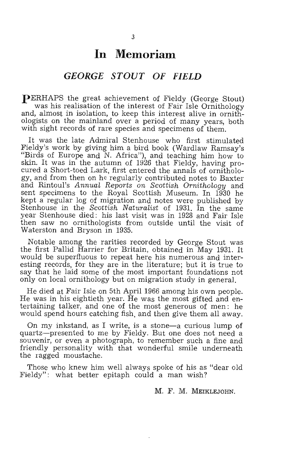# **In Memoriam**

## **GEORGE STOUT OF FIELD**

pERHAPS the great achievement of Fieldy (George Stout) was his realisation of the interest of Fair Isle Ornithology and, almost in isolation, to keep this interest alive in ornithologists on the mainland over a period of many years, both with sight records of rare species and specimens of them.

It was the late Admiral Stenhouse who first stimulated Fieldy's work by giving him a bird book (Wardlaw Ramsay's "Birds of Europe and N. Africa"), and teaching him how to skin. It was in the autumn of 1926 that Fieldy, having procured a Short-toed Lark, first entered the annals of ornithology, and from then on he regularly contributed notes to Baxter and Rintoul's *AnnuaL Reports on Scottish OrnithoLogy* and sent specimens to the Royal Scottish Museum. In 1930 he kept a regular log of migration and notes were published by Stenhouse in the *Scottish Naturalist* of 1931. In the same year Stenhouse died: his last visit was in 1928 and Fair Isle then saw no ornithologists from outside until the visit of Waterston and Bryson in 1935.

Notable among the rarities recorded, by George Stout was the first Pallid Harrier for Britain, obtained in May 1931. It would be superfluous to repeat here his numerous and interesting records, for they are in the literature; but it is true to say that he laid some of the most important foundations not only on local ornithology but on migration study in general.

He died at Fair Isle on 5th April 1966 among his own people. He was in his eightieth year. He was the most gifted and entertaining talker, and one of the most generous of men: he would spend hours catching fish, and then give them all away.

On my inkstand, as I write, is a stone-a curious lump of quartz-presented to me by Fieldy. But one does not need a souvenir, or even a photograph, to remember such a fine and friendly personality with that wonderful smile underneath the ragged moustache.

Those who knew him well always spoke of his as "dear old Fieldy": what better epitaph could a man wish?

M. F. M. MEIKLEJOHN.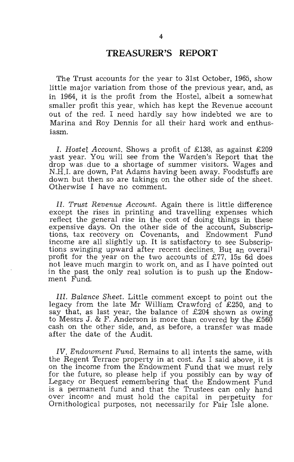## **TREASURER'S REPORT**

The Trust accounts for the year to 31st October, 1965, show little major variation from those of the previous year, and, as in 1964, it is the profit from the Hostel, albeit a somewhat smaller profit this year, which has kept the Revenue account out of the red. I need hardly say how indebted we are to Marina and Roy Dennis for all their hard work and enthusiasm.

I. *Hostel Account.* Shows a profit of £138, as against £209 yast year. You will see from the Warden's Report that the drop was . due to a shortage of summer visitors. Wages and N.H.I. are down, Pat Adams having been away. Foodstuffs are down but then so are takings on the other side of the sheet. Otherwise I have no comment.

*Il. Trust Revenue Account.* Again there is little difference except the rises in printing and travelling expenses which reflect the general rise in the cost of doing things in these expensive days. On the other side of the account, Subscriptions, tax recovery on Covenants, and Endowment Fund income are all slightly up. It is satisfactory to see Subscrip~ tions swinging upward after recent declines. But an overall profit for the year on the two accounts of £77, 15s 6d does not leave much margin to work on, and as I have pointed out in the past the only real solution is to push up the Endowment Fund.

*Ill. Balance Sheet.* Little comment except to point out the legacy from the late Mr William Crawford of £250, and to say that, as last year, the balance of £204 shown as owing to Messrs J. & F. Anderson is more than covered by the £560 cash on the other side, and, as before, a transfer was made after the date of the Audit.

*IV. Endowment Fund.* Remains to all intents the same, with the Regent Terrace property in at cost. As I said above, it is on the income from the Endowment Fund that we must relv for the future, so please help if you possibly can by way of Legacy or Bequest remembering that the Endowment Fund is a permanent fund and that the Trustees can only hand over income and must hold the capital in perpetuity for Ornithological purposes, not necessarily for Fair Isle alone.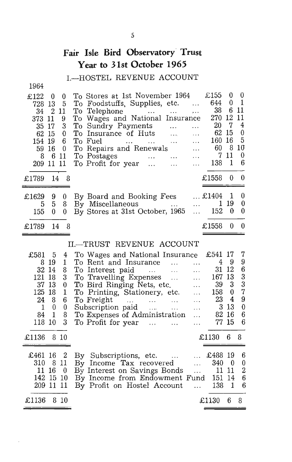## **Fair Isle Bird Observatory' Trust Year to 31st October 1965**

## I.-HOSTEL REVENUE ACCOUNT

1964

| £122      | 0              | 0   | To Stores at 1st November 1964                                                                                                                                                                                                                         |          | £155          | 0        | $\theta$ |
|-----------|----------------|-----|--------------------------------------------------------------------------------------------------------------------------------------------------------------------------------------------------------------------------------------------------------|----------|---------------|----------|----------|
| 728       | -13            | 5   | To Foodstuffs, Supplies, etc.                                                                                                                                                                                                                          |          | 644           | $\Omega$ |          |
| 34        | $\overline{2}$ | 11  | To Telephone<br>$\cdots$<br>and the state of the                                                                                                                                                                                                       | $\cdots$ | 38            | 6        | 11       |
| 373.      | 11             | 9   | To Wages and National Insurance                                                                                                                                                                                                                        |          | 270           | 12       | 11       |
| 35        | 17             | 3   | To Sundry Payments<br>$\ddotsc$                                                                                                                                                                                                                        |          | 20            | 7        | 4        |
| 62        | 15             | 0   | To Insurance of Huts                                                                                                                                                                                                                                   | .        | 62            | 15       | 0        |
| 154       | 19             | 6   | To Fuel<br>and the contract of the contract of the contract of the contract of the contract of the contract of the contract of the contract of the contract of the contract of the contract of the contract of the contract of the contra<br>$\ddotsc$ | $\cdots$ | 160           | 16       | - 5      |
| 59 16     |                | 0   | To Repairs and Renewals                                                                                                                                                                                                                                |          | 60            | 8        | 10       |
| 8         | 6              | -11 | To Postages<br>$\sim 100$ and $\sim 100$                                                                                                                                                                                                               | $\cdots$ |               | 11       | $\theta$ |
| 209 11 11 |                |     | To Profit for year                                                                                                                                                                                                                                     |          | 138           | -1       | 6        |
| £1789     | 14             | 8   |                                                                                                                                                                                                                                                        |          | £1558         | $_{0}$   |          |
|           |                |     |                                                                                                                                                                                                                                                        |          |               |          |          |
| £1629     | 9.             | 0   | By Board and Booking Fees                                                                                                                                                                                                                              |          | $\dots$ £1404 | J.       | 0        |
| 5         | 5              | 8   | By Miscellaneous                                                                                                                                                                                                                                       |          |               | 19       | 0        |
| 155       | 0              | 0   | By Stores at 31st October, 1965                                                                                                                                                                                                                        |          | 152           | 0        | 0        |
| £1789     | 14             |     |                                                                                                                                                                                                                                                        |          | £1558         |          | 0        |
|           |                |     |                                                                                                                                                                                                                                                        |          |               |          |          |

### II.-TRUST REVENUE ACCOUNT

| £581         | 5        | 4          | To Wages and National Insurance £541 17 |                          |                      |          | 7 |
|--------------|----------|------------|-----------------------------------------|--------------------------|----------------------|----------|---|
|              | 819      | 1          | To Rent and Insurance                   | $\cdots$                 | 4                    | 9        | 9 |
| 32 14        |          | 8          | To Interest paid                        | .                        | 31                   | 12       | 6 |
| 121          | 18       | 3          | To Travelling Expenses                  | $\cdots$                 | 167                  | 13       | 3 |
| 37           | 13       | 0          | To Bird Ringing Nets, etc.              | $\ddotsc$                | 39                   | 3        | 3 |
| 125 18       |          | 1          | To Printing, Stationery, etc.           | $\cdots$                 | 158                  | $\theta$ | 7 |
| 24           | 8        | 6          | To Freight<br>$\cdots$                  | .                        | 23                   | 4        | 9 |
| $\mathbf{1}$ | $\theta$ | $\theta$   | Subscription paid                       | $\cdots$                 | 3                    | 13       | 0 |
| 84 1         |          | 8          | To Expenses of Administration           | $\cdots$                 | 82                   | 16       | 6 |
| 118 10       |          | 3          | To Profit for year                      | $\cdots$                 | 77 15                |          | 6 |
| £1136        |          | 8 10       |                                         |                          | £1130                | 6        | 8 |
| £461 16 2    |          |            | By Subscriptions, etc.                  |                          | $\therefore$ £488 19 |          | 6 |
| 310          | - 8      | -11        | By Income Tax recovered                 | $\overline{\mathcal{L}}$ | 340                  | - 0      | 0 |
|              | 11 16    | $\sqrt{0}$ | By Interest on Savings Bonds            |                          | 11                   | 11       | 2 |
| 142 15 10    |          |            | By Income from Endowment Fund           |                          | 151                  | 14       | 6 |
| 209 11 11    |          |            | By Profit on Hostel Account             | $\mathbf{1}$             | 138                  | - 1      | 6 |
|              |          |            |                                         |                          |                      |          |   |
| £1136        |          | 810        |                                         |                          | £1130                | 6        | 8 |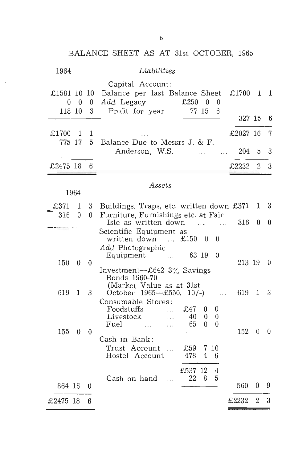|                       |                   |                  | BALANCE SHEET AS AT 31st OCTOBER, 1965                                                                                                                                          |
|-----------------------|-------------------|------------------|---------------------------------------------------------------------------------------------------------------------------------------------------------------------------------|
| 1964                  |                   |                  | Liabilities                                                                                                                                                                     |
| £1581 10 10<br>118 10 | $0\quad 0\quad 0$ | 3                | Capital Account:<br>Balance per last Balance Sheet<br>£1700 $1$<br>1<br>Add Legacy<br>£250<br>$\theta$<br>$\Omega$<br>Profit for year<br>77 15<br>6<br>327 15<br>6              |
| £1700                 | 1                 | 1                | £2027 16<br>7                                                                                                                                                                   |
| 775 17                |                   | 5.               | Balance Due to Messrs J. & F.<br>Anderson, W.S.<br>204<br>5<br>8<br>$\ddotsc$<br>$\cdots$                                                                                       |
| £2475 18              |                   | 6                | 3<br>£2232<br>$\overline{2}$                                                                                                                                                    |
|                       | 1964              |                  | Assets                                                                                                                                                                          |
| £371                  | 1                 | 3                | Buildings, Traps, etc. written down £371<br>3<br>1                                                                                                                              |
| 316                   | 0                 | 0                | Furniture, Furnishings etc. at Fair<br>Isle as written down<br>316<br>0<br>$\theta$<br><b>Contractor</b><br>$\sim$                                                              |
| 150                   | 0                 | 0                | Scientific Equipment as<br>written down<br>£150<br>$\Omega$<br>- 0<br>$\sim$ 100 $\sim$<br>Add Photographic<br>63 19<br>Equipment<br>$\theta$<br>$\cdots$<br>213 19<br>$\theta$ |
|                       |                   |                  | Investment- $-$ £642 3% Savings<br>Bonds 1960-70<br>(Market Value as at 31st                                                                                                    |
| 619                   | 1                 | 3                | 619<br>3<br>October 1965-£550, 10/-)<br>1<br>Consumable Stores:                                                                                                                 |
| 155                   | $\theta$          | $\boldsymbol{0}$ | Foodstuffs<br>£47<br>0<br>0<br>$\ddotsc$<br>Livestock<br>40<br>0<br>0<br>$\cdots$<br>65<br>Fuel<br>0<br>0<br>$\sim$ .<br>$\ddotsc$<br>152<br>0<br>$\theta$                      |
|                       |                   |                  | Cash in Bank:<br>Trust Account<br>£59<br>10<br>7<br>$\ddotsc$<br>4<br>Hostel Account<br>478<br>6                                                                                |
| 864 16                |                   | 0                | £537 12<br>4<br>Cash on hand<br>22<br>8<br>5<br>$\ddotsc$<br>560<br>9<br>0                                                                                                      |
| £2475 18              |                   | 6                | £2232<br>2<br>3                                                                                                                                                                 |

6

 $\bar{\beta}$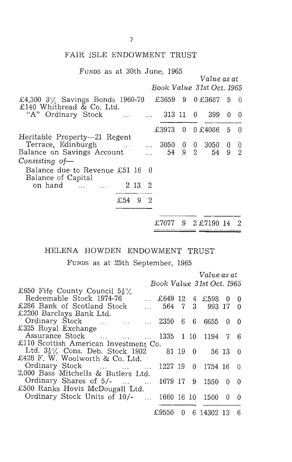#### FAIR ISLE ENDOWMENT TRUST

| FUNDS as at 30th June, 1965                                                                      |     |   |                |                                     |   |                     |          |                              |
|--------------------------------------------------------------------------------------------------|-----|---|----------------|-------------------------------------|---|---------------------|----------|------------------------------|
|                                                                                                  |     |   |                | Book Value 31st Oct. 1965           |   | Value as at         |          |                              |
|                                                                                                  |     |   |                |                                     |   |                     |          |                              |
| £4,300 $3\%$ Savings Bonds 1960-70<br>£140 Whitbread & Co. Ltd.                                  |     |   |                |                                     |   | £3659 9 0 £3687 5 0 |          |                              |
| "A" Ordinary Stock                                                                               |     |   |                | $\ldots$ $\ldots$ 313 11 0          |   | 399                 | $\theta$ | -0                           |
|                                                                                                  |     |   |                | £3973                               |   | $0 \t0.64086 \t5.0$ |          |                              |
| Heritable Property—21 Regent<br>Terrace, Edinburgh   3050 0 0 3050<br>Balance on Savings Account |     |   |                | $\mathbf{r}$ and $\mathbf{r}$<br>54 | 9 | $2^{\circ}$<br>54   |          | $0\quad 0$<br>9 <sub>2</sub> |
| Consisting of-                                                                                   |     |   |                |                                     |   |                     |          |                              |
| Balance due to Revenue £51 16 0<br>Balance of Capital                                            |     |   |                |                                     |   |                     |          |                              |
| on hand   2 13 2                                                                                 |     |   |                |                                     |   |                     |          |                              |
|                                                                                                  | £54 | 9 | $\overline{2}$ |                                     |   |                     |          |                              |
|                                                                                                  |     |   |                |                                     |   |                     |          |                              |
|                                                                                                  |     |   |                | £7077                               | 9 | 2 £7190 14          |          | 2                            |

## HELENA HOWDEN ENDOWMENT TRUST

FUNDS as at 25th September, 1965

|                                             |                           |       |          | Value as at      |   |          |
|---------------------------------------------|---------------------------|-------|----------|------------------|---|----------|
|                                             | Book Value 31st Oct. 1965 |       |          |                  |   |          |
| £650 Fife County Council $5\frac{1}{2}\%$   |                           |       |          |                  |   |          |
| Redeemable Stock 1974-76                    | £649 12 4 £598 0          |       |          |                  |   | 0        |
| £286 Bank of Scotland Stock                 | 564 7 3<br>$\mathbf{r}$   |       |          | 993 17           |   | $\theta$ |
| £2200 Barclays Bank Ltd.                    |                           |       |          |                  |   |          |
| Ordinary Stock    2350                      |                           | 6     | - 6 -    | 6655             | 0 | $\theta$ |
| £325 Royal Exchange                         |                           |       |          |                  |   |          |
| Assurance Stock                             |                           |       |          | 1335 1 10 1194 7 |   | - 6      |
| £110 Scottish American Investment Co.       |                           |       |          |                  |   |          |
| Ltd. $3\frac{1}{2}\%$ Cons. Deb. Stock 1902 |                           | 81 19 | $\Box$ 0 | 56 13            |   | -0       |
| £428 F. W. Woolworth & Co. Ltd.             |                           |       |          |                  |   |          |
| Ordinary Stock                              | 1227 19                   |       |          | $0$ 1754 16      |   | - 0      |
| 2,000 Bass Mitchells & Butlers Ltd.         |                           |       |          |                  |   |          |
| Ordinary Shares of 5/-<br>$\sim$ 100 $\sim$ | 1679 17 9                 |       |          | 1550             | 0 | $\Omega$ |
| £500 Ranks Hovis McDougall Ltd.             |                           |       |          |                  |   |          |
| Ordinary Stock Units of 10/-                | 1660 16 10                |       |          | 1500             | 0 | $\theta$ |
|                                             |                           |       |          |                  |   |          |
|                                             | £9550                     | 0     |          | 6 14302 13       |   | 6        |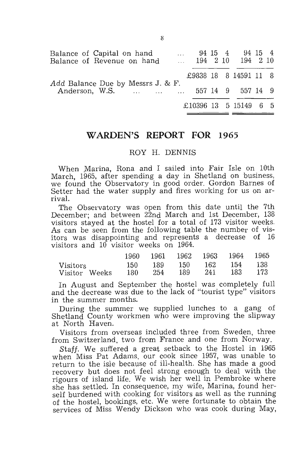| Balance of Capital on hand<br>Balance of Revenue on hand | $\sim 10^{-10}$ |  | 94 15 4 94 15 4<br>194 2 10 194 2 10 |  |
|----------------------------------------------------------|-----------------|--|--------------------------------------|--|
|                                                          |                 |  | £9838 18 8 14591 11 8                |  |
| Add Balance Due by Messrs J. & F.<br>Anderson, W.S.      |                 |  | 557 14 9 557 14 9                    |  |
|                                                          |                 |  | $£10396$ 13 5 15149 6 5              |  |

### **WARDEN'S REPORT FOR 1965**

#### ROY H. DENNIS

When Marina, Rona and I sailed into Fair Isle on 10th March, 1965, after spending a day in Shetland on business, we found the Observatory in good order. Gordon Barnes of Setter had the water supply and fires working for us on arrival.

The Observatory was open from this date until the 7th December; and between 22nd March and 1st December, 138 visitors stayed at the hostel for a total of 173 visitor weeks. As can be seen from the following table the number of visitors was disappointing and represents a decrease of 16 visitors and 10 visitor weeks on 1964.

|                           |     |     | 1960 1961 1962 1963 1964 1965 |     |                       |                |
|---------------------------|-----|-----|-------------------------------|-----|-----------------------|----------------|
| Visitors<br>Visitor Weeks | 180 | 254 | 150 189 150<br>- 189          | 241 | - 162 - 154 -<br>-183 | - 138<br>-173- |

In August and September the hostel was completely full and the decrease was due to the lack of "tourist type" visitors in the summer months.

During the summer we supplied lunches to a gang of Shetland County workmen who were improving the slipway at North Haven.

Visitors from overseas included three from Sweden, three from Switzerland, two from France and one from Norway.

*Staff.* We suffered a great setback to the Hostel in 1965 when Miss Pat Adams. our cook since 1957, was unable to return to the isle because of ill-health. She has made a good recovery but does not feel strong enough to deal with the rigours of island life. We wish her well in Pembroke where she has settled. In consequence, my wife, Marina, found herself burdened with cooking for visitors as well as the running of the hostel, bookings, etc. We were fortunate to obtain the services of Miss Wendy Dickson who was cook during May,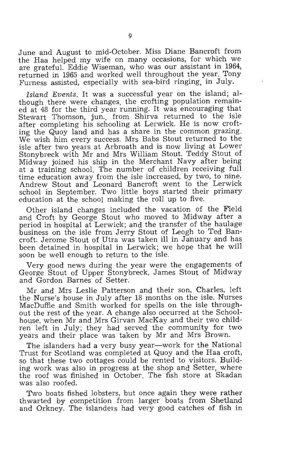June and August to mid-October. Miss Diane Bancroft from the Haa helped my wife on many occasions, for which we are grateful. Eddie Wiseman, who was our assistant in 1964, returned in 1965 and worked well throughout the year. Tony Furness assisted, especially with sea-bird ringing, in July.

Island Events. It was a successful year on the island; although there were changes, the crofting population remained at 48 for the third year running. It was encouraging that Stewart Thomson, jun., from Shirva returned to the isle after completing his schooling at Lerwick. He is now crofting the Quoy land and has a share in the common grazing. We wish him every success. Mrs Babs Stout returned to the isle after two years at Arbroath and is now living at Lower Stonybreck with Mr and Mrs William Stout. Teddy Stout of Midway joined his ship in the Merchant Navy after being at a training schooL The number of children receiving full time education away from the isle increased, by two, to nine. Andrew Stout and Leonard Bancroft went fo the Lerwick school in September. Two little boys started their primary education at the school making the roll up to five.

Other island changes included the vacation of the Field and Croft by George Stout who moved to Midway after a period in hospital at Lerwick; and the transfer of the haulage business on the isle from Jerry Stout of Leogh to Ted Bancroft. Jerome Stout of Utra was taken ill in January and has been detained in hospital in Lerwick; we hope that he will soon be well enough to return to the isle.

Very good news during the year were the engagements of George Stout of Upper Stonybreck, James Stout of Midway and Gordon Barnes of Setter.

Mr and Mrs Leslie Patterson and their son, Charles, left the Nurse's house in July after 18 months on the isle. Nurses MacDuffie and Smith worked for spells on the isle throughout the rest of the year. A change also occurred at the Schoolhouse, when Mr and Mrs Girvan MacKay and their two children left in July; they had served the community for two years and their place was taken by Mr and Mrs Brown.

The islanders had a very busy year—work for the National Trust for Scotland was completed at Quoy and the Haa croft, so that these two cottages could be rented to visitors. Building work was also in progress at the shop and Setter, where the roof was finished in October. The fish store at Skadan was also roofed.

Two boats fished lobsters, but once again they were rather thwarted by competition from larger boats from Shetland and Orkney. The islanders had very good catches of fish in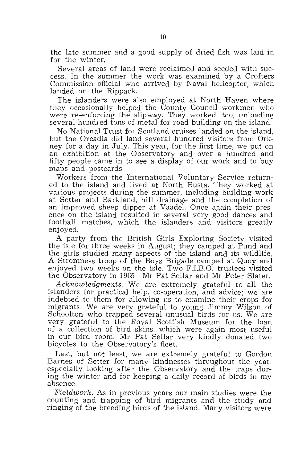the late summer and a good supply of drieq fish was laid in for the winter.

Several areas of land were reclaimed and seeded with success. In the summer the work was examined by a Crofters Commission official who arrived by Naval helicopter, which landed on the Rippack.

The islanders were also employed at North Haven where they occasionally helped the County Council workmen who were re-enforcing the slipway. They worked, too, unloading several hundred tons of metal for road building on the island.

No National Trust for Scotland cruises landed on the island, but the Orcadia did land several hundred visitors from Orkney for a day in July. This year, for the first time, we put on an exhibition at the Observatory and over a hundred and fifty people came in to see a display of Our work and to buy maps and postcards.

Workers from the International Voluntary Service returned to the island and lived at North Busta. They worked at various projects during the summer, including building work at Setter and Barkland, hill drainage and the completion of an improved sheep dipper at Vaadel. Once again their presence on the island resulted in several very good dances and football matches, which the islanders and visitors greatly enjoyed.

A party from the British Girls Exploring Society visited the isle for three weeks in August; they camped at Pund and the girls studied many aspects of the island and its wildlife. A Stromness troop of the Boys Brigade camped at Quoy and enjoyed two weeks on the isle. Two F.I.B.O. trustees visited the Observatory in 1965-Mr Pat Sellar and Mr Peter Slater.

*AcknOWledgments.* We are extremely grateful to all the islanders for practical help, co-operation, and advice; we are indebted to them for allowing us to examine their crops for migrants. We are very grateful to young Jimmy Wilson of Schoolton who trapped several unusual birds for us. We are very grateful to the Royal Scottish Museum for the loan of a collection of bird skins, which were again most useful in our bird room. Mr Pat Sellar very kindly donated two bicycles to the Observatory's fleet.

Last, but not least, we are extremely grateful to Gordon Barnes of Setter for many kindnesses throughout the year, especially looking after the Observatory and the traps during the winter and for keeping a daily record of birds in my absence.

*Fieldwork.* As in previous years our main studies were the counting and trapping of bird migrants and the study and ringing of the breeding birds of the island. Many visitors were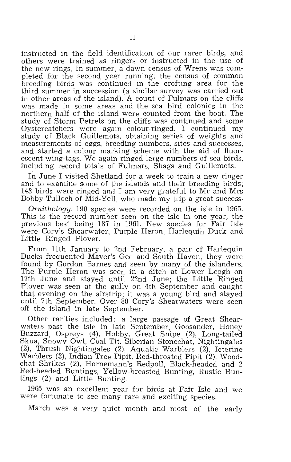instructed in the field identification of our rarer birds, and others were trained as ringers or instructed in the use' of the new rings. In summer, a dawn census of Wrens was completed for the second year running; the census of common breeding birds was continued in the crofting area for the third summer in succession (a similar survey was carried out in other areas of the island). A count of Fulmars on the cliffs was made in some areas and the sea bird colonies in the northern half of the island were counted from the boat. The study of Storm Petrels on the cliffs was continued and some Oystercatchers were again colour-ringed. I continued my study of Black Guillemots, obtaining series of weights and measurements of eggs, breeding numbers, sites and successes, and started a colour marking scheme with the aid of fluorescent wing-tags. We again ringed large numbers of sea birds, including record totals of Fulmars, Shags and Guillemots.

In June I visited Shetland for a week to train a new ringer and to examine some of the islands and their breeding birds; 143 birds were ringed and I am very grateful to Mr and Mrs Bobby Tulloch of Mid-Yell, who made my trip a great success·

Ornithology. 190 species were recorded on the isle in 1965. This is the record number seen on the isle in one year, the previous best being 187 in 1961. New species for Fair Isle were Cory's Shearwater, Purple Heron, Harlequin Duck and Little Ringed Plover.

From 11th January to 2nd February, a pair of Harlequin Ducks frequented Maver's Geo and South Haven; they were found by Gordon Barnes and seen by many of the islanders. The Purple Heron was seen in a ditch at Lower Leogh on 17th June and stayed until 22nd June; the Little Ringed Plover was seen at the gully on 4th September and caught that evening on the airstrip; it was a young bird and stayed until 7th September. Over 80 Cory's Shearwaters were seen off the island in late September.

Other rarities included: a large passage of Great Shearwaters past the isle in late September, Goosander, Honey Buzzard, Ospreys (4), Hobby, Great Snipe (2), Long-tailed Skua, Snowy Owl, Coal Tit. Siberian Stonechat, Nightingales (2), Thrush Nightingales (2), Aquatic Warblers (2), Icterine Warblers (3), Indian Tree Pipit, Red-throated Pipit (2), Woodchat Shrikes (2), Hornemann's Redpoll, Black-headed and 2 Red-headed Buntings, Yellow-breasted Bunting, Rustic Buntings (2) and Little Bunting.

1965 was an excellent year for birds at Fair Isle and we were fortunate to see many rare and exciting species.

March was a very quiet month and most of the early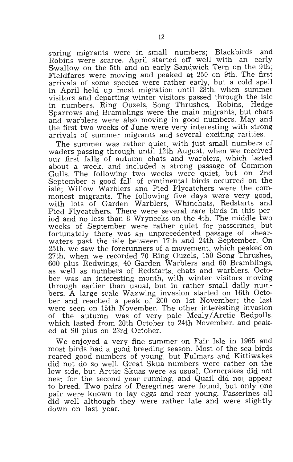spring migrants were in small numbers; Blackbirds and Robins were scarce. April started off well with an early Swallow on the 5th and an early Sandwich Tern on the 9th; Fieldfares were moving and peaked at 250 on 9th. The first arrivals of some species were rather early, but a cold spell in April held up most migration until 28th, when summer visitors and departing winter visitors passed through the isle in numbers. Ring Ouzels, Song Thrushes, Robins, Hedge Sparrows and Bramblings were the main migrants, but chats and warblers were also moving in good numbers. May and the first two weeks of June were very interesting with strong arrivals of summer migrants and several exciting rarities.

The summer was rather quiet, with just small numbers of waders passing through until 12th August, when we received our first falls of autumn chats and warblers, which lasted about a week, and included a strong passage of Common Gulls. The following two weeks were quiet, but on 2nd September a good fall of continental birds occurred on the isle; Willow Warblers and Pied Flycatchers were the commonest migrants. The following five days were very good, with lots of Garden Warblers, Whinchats, Redstarts and Pied Flycatchers. There were several rare birds in this period and no less than 8 Wrynecks on the 4th. The middle two weeks of September were rather quiet for passerines, but fortunately there was an unprecedented passage of shearwaters past the isle between 17th and 24th September. On 25th, we saw the forerunners of a movement, which peaked on 27th, when we recorded 70 Ring Ouzels, 150 Song Thrushes, 600 plus Redwings, 40 Garden Warblers and 60 Bramblings, as well as numbers of Redstarts, chats and warblers. October was an interesting month, with winter visitors moving through earlier than usual, but in rather small daily numbers. A large scale Waxwing invasion started on 16th October and reached a peak of 200 on 1st November; the last were seen on 15th November. The other interesting invasion of the autumn was of very pale Mealy/Arctic Redpolls, which lasted from 20th October to 24th November, and peaked at 90 plus on 23rd October.

We enjoyed a very fine summer on Fair Isle in 1965 and most birds had a good breeding season. Most of the sea birds reared good numbers of young, but Fulmars and Kittiwakes did not do so well. Great Skua numbers were rather on the low side, but Arctic Skuas were as usual. Corncrakes did not nest for the second year running, and Quail did not appear to breed. Two pairs of Peregrines were found, but only one pair were known to lay eggs and rear young. Passerines all did well although they were rather late and were slightly down on last year.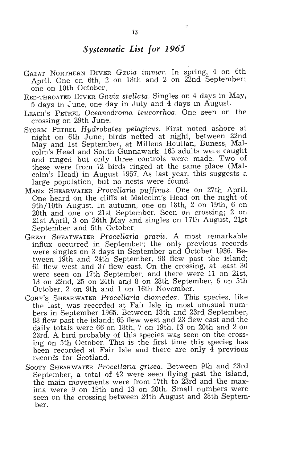#### *Systematic List for 1965*

- GREAT NORTHERN DIVER *Gavia* immer. In spring, 4 on 6th April. One on 6th, 2 on 18th and 2 on 22nd September; one on 10th October.
- RED-THROATED DIVER *Gavia stellata.* Singles on 4 days in May, 5 days in June, one day in July and 4 days in August.
- LEACH'S PETREL *Oceanodroma leucorrhoa.* One seen on the crossing on 29th June.
- STORM PETREL *Hydrobates pelagicus.* First noted ashore at night on 6th June; birds netted at night, between 22nd May and 1st September, at Millens Houllan, Buness, Malcalm's Head and South Gunnawark. 165 adults were caught and ringed but only three controls were made. Two of these were from 12 birds ringed at the same place (Malcolm's Head) in August 1957. As last year, this suggests a large population, but no nests were found.
- .MANx SHEAR WATER *Procellaria puffinus.* One on 27th April. One heard on the cliffs at Malcolm's Head on the night of 9th/10th August. In autumn, one on 18th, 2 on 19th, 6 on 20th and one on 21st September. Seen on crossing; 2 on 21st April, 3 on 26th May and singles on 17th August, 21st September and 5th October.
- GREAT SHEATWATER *Procellaria gravis.* A most remarkable influx occurred in September; the only previous records were singles on 3 days in September and October 1936. Between 19th and 24th September, 98 flew past the island; 61 flew west and 37 flew east. On the crossing, at least 30 were seen on 17th September, and there were 11 on 21st, 13 on 22nd, 25 on 24th and 8 on 28th September, 6 on 5th October, 2 on 9th and 1 on 16th November.
- CORY'S SHEARWATER *Procellaria diomedea.* This species, like the last, was recorded at Fair Isle in most unusual numbers in September 1965. Between 18th and 23rd September, 88 flew past the island; 65 flew west and 23 flew east and the daily totals were 66 on 18th, 7 on 19th, 13 on 20th and 2 on 23rd. A bird probably of this species was seen on the crossing on 5th October. This is the first time this species has been recorded at Fair Isle and there are only  $\overline{4}$  previous records for Scotland.
- SOOTY SHEARWATER *Procellaria grisea.* Between 9th and 23rd September, a total of 42 were seen flying past the island, the main movements were from 17th to 23rd and the maxima were 9 on 19th and 13 on 20th. Small numbers were seen on the crossing between 24th August and 28th September.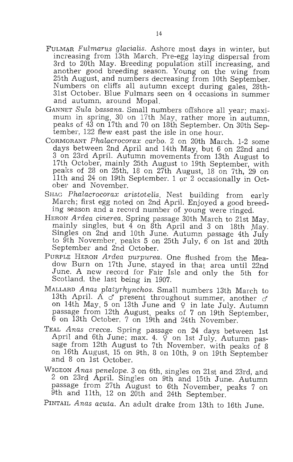- FULMAR *FuLmarus gLaciaLis.* Ashore most days in winter, but increasing from 13th March. Pre-egg laying dispersal from 3rd to 20th May. Breeding population still increasing, and another good breeding season. Young on the wing from<br>25th August, and numbers decreasing from 10th September. Numbers on cliffs all autumn except during gales, 28th-31st October. Blue Fulmars seen On 4 occasions in summer and autumn, around Mopal.
- GANNET *Sula bassana.* Small numbers offshore all year; maximum in spring, 30 on 17th May, rather more in autumn, peaks of 43 on 17th and 70 on 18th September. On 30th September, 122 flew east past the isle in one hour.
- CORMORANT *Phalacrocorax carbo.* 2 on 20th March. 1-2 some days between 2nd April and 14th May, but 6 on 22nd and 3 on 23rd April. Autumn movements from 13th August to 17th October, mainly 25th August to 19th September, with peaks of 28 on 25th, 18 on 27th August, 18 on 7th, 29 on 11th and 24 on 19th September. 1 or 2 occasionally in October and November.
- SHAG *Phalacrocorax aristotelis.* Nest building from early March; first egg noted on 2nd April. Enjoyed a good breeding season and a record number of young were ringed.
- HERON *Ardea cinerea.* Spring passage 30th March to 21st May, mainly singles, but  $4$  on  $8$ th April and 3 on 18th May. Singles on 2nd and 10th June. Autumn passage 4th July to 9th November, peaks 5 on 25th July,  $6$  on 1st and 20th September and 2nd October.
- PURPLE HERON *Ardea pU1'purea.* One flushed from the Meadow Burn on 17th June, stayed in that area until 22nd June. A new record for Fair Isle and only the 5th for Scotland, the last being in 1907.
- MALLARD *Anas platyrhynchos.* Small numbers 13th March to 13th April. A  $\sigma$  present throughout summer, another  $\sigma'$ on 14th May, 5 on 13th June and  $9$  in late July. Autumn passage from 12th August, peaks of 7 on 19th September, 6 on 13th October, 7 on 19th and 24th November.
- TEAL *Anas crecca.* Spring passage on 24 days between 1st April and 6th June; max. 4.  $\tilde{\varphi}$  on 1st July. Autumn passage from 12th August to 7th November, with peaks of 8 on 16th August, 15 on 9th, 8 on 10th, 9 on 19th September and 8 on 1st October.
- WIGEON *Anas penelope.* 3 on 6th, singles on 21st and 23rd, and 2 on 23rd April. Singles on 9th and 15th June. Autumn passage from 27th August to 6th November, peaks 7 on 9th and 11th, 12 on 20th and 24th September.

PINTAIL *Anas acuta.* An adult drake from 13th to 16th June.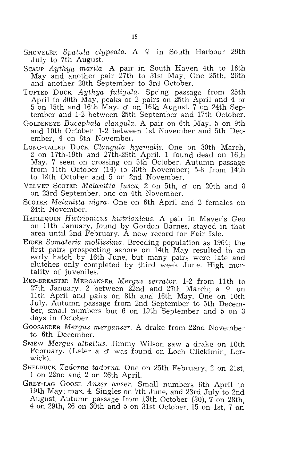- SHOVELER Spatula clypeata. A  $\varphi$  in South Harbour 29th July to 7th August.
- SCAUP *Aythya marila.* A pair in South Haven 4th to 16th May and another pair 27th to 31st May. One 25th, 26th and another 28th September to 3rd October.
- TUFTED DUCK *Aythya fuligula.* Spring passage from 25th April to 30th May, peaks of 2 pairs on 25th April and 4 or 5 on 15th and 16th May. *cf* on 16th August. 7 on 24th September and 1-2 between 25th September and 17th October.
- GOLDENEYE *Bucephala clangula*. A pair on 6th May. 5 on 9th and 10th October. 1-2 between 1st November and 5th December, 4 on 8th November.
- LONG-TAILED DUCK *Clangula hyemalis.* One on 30th March, 2 on 17th-19th and 27th-29th April. 1 found dead on 16th May. 7 seen on crossing on 5th October. Autumn passage from 11th October (14) to 30th November; 5-8 from 14th to 18th October and 5 on 2nd November.
- VELVET SCOTER *Melanitta fusca.* 2 on 5th, *cf* on 20th and 8 on 23rd September, one on 4th November.
- SCOTER *Melanitta nigra.* One on 6th April and 2 females on 24th November.
- HARLEQUIN *Histrionicus histrionicus.* A pair in Maver's Geo on 11th January, found qy Gordon Barnes, stayed in that area until 2nd February. A new record for Fair Isle.
- EIDER *Somateria mollissima.* Breeding population as 1964; the first pairs prospecting ashore on 14th May resulted in an early hatch by 16th June, but many pairs were late and clutches only completed by third week June. High mortality of juveniles.
- RED-BREASTED MERGANSER *Mergus serrator.* 1-2 from 11th to 27th January; 2 between 22nd and 27th March; a  $9$  on 11th April and pairs on 8th and 16th May. One on 10th July. Autumn passage from 2nd September to 5th December, small numbers but 6 on 19th September and 5 on 3 days in October.
- GOOSANDER *Mergus merganser.* A drake from 22nd November to 6th December.
- SMEW *Mergus albellus.* Jimmy Wilson saw a drake on 10th February. (Later a *cf* was found on Loch Clickimin, Lerwick).
- SHELDUCK *Tadorna tadorna.* One on 25th February, 2 on 21st, 1 on 22nd and 2 on 26th April.
- GREY-LAG GOOSE *Anser anser.* Small numbers 6th April to 19th May; max. 4. Singles on 7th June, and 23rd July to 2nd August. Autumn passage from 13th October (30), 7 on 28th, 4 on 29th, 26 on 30th and 5 on 31st October, 15 on 1st, 7 on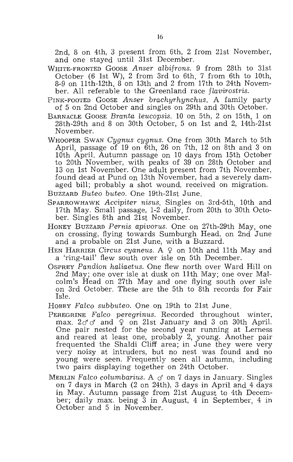2nd, 8 on 4th, 3 present from 6th, 2 from 21st November, and one stayed until 31st December.

- WHITE-FRONTED GOOSE Anser albifrons. 9 from 28th to 31st October (6 1st W), 2 from 3rd to 6th, 7 from 6th to 10th,  $8-9$  on  $11th-12th$ ,  $8$  on  $13th$  and  $2$  from  $17th$  to  $24th$  November. All referable to the Greenland race *flavirostris*.
- PINK-FOOTED GOOSE *Anser brachyrhynchus.* A family party of 5 on 2nd October and singles on 29th and 30th October.
- BARNACLE GOOSE *Branta leucopsis*. 10 on 5th, 2 on 15th, 1 on 28th-29th and 8 on 30th October, 5 on 1st and 2, 14th-21st November.
- WHOOPER SWAN *Cygnus cygnus.* One from 30th March to 5th April, passage of 19 on 6th, 26 on 7th, 12 on 8th and 3 on 10th April. Autumn passage on 10 days from 15th October to 20th November, with peaks of 39 on 28th October and 13 on 1st November. One adult present from 7th November, found dead at Pund on 13th November, had a severely damaged bill; probably a shot wound, received on migration.
- BUZZARD *Buteo buteo.* One 19th-21st June.
- SPARROWHAWK *Accipiter nisus.* Singles on 3rd-5th, 10th and 17th May. Small passage, 1-2 daily, from 20th to 30th Octo- ber. Singles 8th and 21st November.
- HONEY BUZZARD *Pernis apivorus.* One on 27th-29th May, one on crossing, flying towards Sumburgh Head, on 2nd June and a probable on 21st June, with a Buzzard.
- HEN HARRIER *Circus cyaneus.* A  $9$  on 10th and 11th May and a 'ring-tail' flew south over isle on 5th December.
- OSPREY Pandion haliaetus. One flew north over Ward Hill on 2nd May; one over isle at dusk on 11th May; one over Malcolm's Head on 27th May and one flying south over isle on 3rd October. These are the 5th to 8th records for Fair Isle.
- HOBBY *FaZco subbuteo.* One on 19th to 21st June.
- PEREGRINE Falco peregrinus. Recorded throughout winter, max.  $2\sigma \sigma$  and  $\varphi$  on 21st January and 3 on 30th April. One pair nested for the second year running at Lerness and reared at least one, probably 2, young. Another pair frequented the Shaldi Cliff area; in June they were very very noisy at intruders, but no nest was found and no young were seen. Frequently seen all autumn, including two pairs displaying together on 24th October.
- MERLIN *Falco columbarius.* A  $\sigma$  on 7 days in January. Singles on 7 days in March (2 on 24th), 3 days in April and 4 days in May. Autumn passage from 21st August to 4th December; daily max. being 3 in August, 4 in September, 4 in October and 5 in November.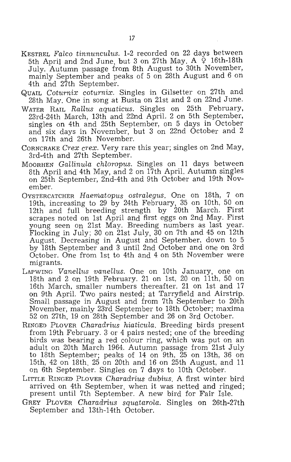- KESTREL *Falco tinnunculus.* 1-2 recorded on 22 days between 5th April and 2nd June, but 3 on 27th May. A  $\zeta$  16th-18th July. Autumn passage from 8th August to 30th November, mainly September and peaks of 5 on 28th August and 6 on 4th and 27th September.
- QUAIL *Coturnix coturnix.* Singles in Gilsetter on 27th and 28th May. One in song at Busta on 21st and 2 on 22nd June.
- WATER RAIL *Rallus aquaticus.* Singles on 25th February, 23rd-24th March, 13th and 22nd April. 2 on 5th September, singles on 4th and 25th September, on 5 days in October and six days in November, but 3 on 22nd October and 2 on 17th and 26th November.
- CORNCRAKE *Crex crex.* Very rare this year; singles on 2nd May, 3rd-4th and 27th September.
- MOORHEN *Gallinula chloropus*. Singles on 11 days between 8th April and 4th May, and 2 on 17th April. Autumn singles on 25th September, 2nd-4th and 9th October and 19th November.
- OYSTERCATCHER *Haematopus ostralegus.* One on 18th, 7 on 19th, increasing to 29 by 24th February, 35 on 10th, 50 on 12th and full breeding strength by 20th March. First scrapes noted on 1st April and first eggs on 2nd May. First young seen on 21st May. Breeding numbers as last year. Flocking in July; 30 on 21st July, 30 on 7th and 45 on 12th August. Decreasing in August and September, down to 5 by 18th September and 3 until 2nd October and one on 3rd October. One from 1st to 4th and 4 on 5th November were migrants.
- LAPWING *Vanellus vanellus.* One on 10th January, one on 18th and 2 on 19th February. 21 on 1st, 20 on 11th, 50 on 16th March, smaller numbers thereafter. 21 on 1st and 17 on 9th April. Two pairs nested; at Tarryfield and Airstrip. Small passage in August and from 7th September to 20th November, mainly 23rd September to 18th October; maxima 52 on 27th, 19 on 28th September and 26 on 3rd October.
- RINGED PLOVER Charadrius hiaticula. Breeding birds present from 19th February. 3 or 4 pairs nested; one of the breeding birds was bearing a red colour ring, which was put on an adult on 20th March 1964. Autumn passage from 21st July to 18th September; peaks of 14 on 9th, 25 on 13th, 36 on 15th, 42 on 18th, 25 on 20th and 16 on 25th August, and 11 on 6th September. Singles on 7 days to 10th October.
- LITTLE RINGED PLOVER *Charadrius dubius.* A first winter bird arrived on 4th September, when it was netted and ringed; present until 7th September. A new bird for Fair Isle.
- GREY PLOVER *Charadrius squatarola.* Singles on 26th-27th September and 13th-14th October.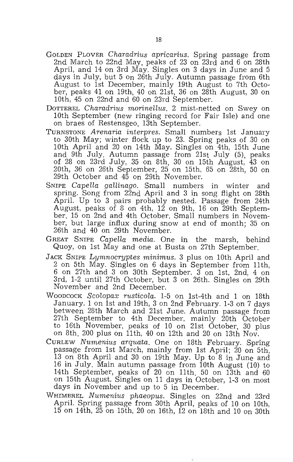- GOLDEN PLOVER Charadrius apricarius. Spring passage from 2nd March to 22nd May, peaks of 23 on 23rd and 6 on 28th April, and 14 on 3rd May. Singles on 3 days in June and 5 days in July, but 5 on 26th July. Autumn passage from 6th August to 1st December, mainly 19th August to 7th October, peaks 41 on 19th, 40 on 21st, 36 on 28th August, 30 on 10th, 45 on 22nd and 60 on 23rd September.
- DOTTEREL *Chamdrius morinellus.* 2 mist-netted on Swey on 10th September (new ringing record for Fair Isle) and one on braes of Restensgeo, 13th September.
- TURNSTONE *Arenaria interpres.* Small numbers 1st January to 30th May; winter flock up to 23. Spring peaks of 30 on 10th April and 20 on 14th May. Singles on 4th, 15th June and 9th July. Autumn passage from 21st July (5), peaks of 28 on 23rd July, 35 on 8th, 30 on 15th August, 43 on 20th, 36 on 26th September, 25 on 15th, 65 on 28th, 50 on 29th October and 45 on 29th November.
- SNIPE *CapeIla gallinago.* Small numbers in winter and spring. Song from 22nd April and 3 in song flight on 28th April. Up to 3 pairs probably nested. Passage from 24th August, peaks of 8 on 4th, 12 on 9th, 16 on 29th September, 15 on 2nd and 4th October. Small numbers in November, but large influx during snow at end of month; 35 on 26th and 40 on 29th November.
- GREAT SNIPE *CapeLla media.* One in the marsh, behind Quoy, on 1st May and one at Busta on 27th September.
- JACK SNIPE *Lymnocryptes minimus.* 3 plus on 10th April and 2 on 5th May. Singles on 6 days in September from 11th, 6 on 27th and 3 on 30th September. 3 on 1st, 2nd, 4 on 3rd, 1-2 until 27th October, but 3 on 26th. Singles on 29th November and 2nd December.
- WOODCOCK *Scolopax rusticola.* 1-5 on 1st-4th and 1 on 18th January. 1 on 1st and 19th, 3 on 2nd February. 1-3 on 7 days between 28th March and 21st June. Autumn passage from 27th September to 4th December, mainly 20th October to 16th November, peaks of 10 on 21st October, 30 plus on 8th, 200 plus on 11th, 40 on 12th and 20 on 13th Nov.
- CURLEW *Numenius arquata.* One on 18th February. Spring passage from 1st March, mainly from 1st April; 20 on 5th, 13 on 8th April and 30 on 19th May. Up to 8 in June and 16 in July. Main autumn passage from 10th August (10) to 14th September, peaks of 20 on 11th, 50 on 13th and 60 on 15th August. Singles On 11 days in October, 1-3 on most days in November and up to 5 in December.
- WHIMBREL *Numenius phaeopus.* Singles on 22nd and 23rd April. Spring passage from 30th April, peaks of 10 on 10th, 15 on 14th, 25 on 15th, 20 on 16th, 12 on 18th and 10 on 30th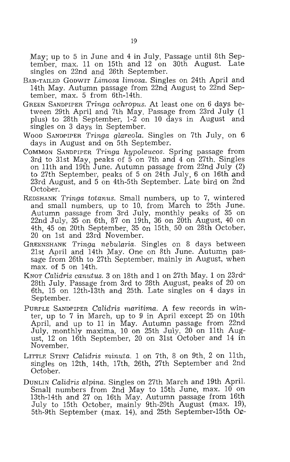May; up to 5 in June and 4 in July. Passage until 8th September, max. 11 on 15th and 12 on 30th August. Late singles on 22nd and 26th September.

- BAR-TAILED GODWIT *Limosa limosa.* Singles on 24th April and 14th May. Autumn passage from 22nd August to 22nd September, max. 5 from 6th-14th.
- GREEN SANDPIPER *Tringa ochropus.* At least one on 6 days between 29th April and 7th May. Passage from 23rd July (1 plus) to 28th September, 1-2 on 10 days in August and singles on 3 days in September.
- WOOD SANDPIPER *Tringa gLareola.* Singles on 7th July, on 6 days in August and on 5th September.
- COMMON SANDPIPER *Tringa hypoleucos.* Spring passage from 3rd to 31st May, peaks of 5 on 7th and 4 on 27th. Singles on 11th and 19th June. Autumn passage from  $22nd$  July  $(2)$ to 27th September, peaks of 5 on 24th July, 6 on 16th and 23rd August, and 5 on 4th-5th September. Late bird on 2nd October.
- REDSHANK *Tringa totanus.* Small numbers, up to 7, wintered and small numbers, up to 10, from March to 25th June. Autumn passage from 3rd July, monthly peaks of 35 on 22nd July, 35 on 6th, 87 on 19th, 36 on 20th August, 40 on 4th, 45 on 20th September, 35 On 15th. 50 on 28th October, 20 on 1st and 23rd November.
- GREENSHANK *Tringa nebularia.* Singles on 8 days between 21st April and 14th May. One on 8th June. Autumn passage from 26th to 27th September, mainly in August, when max. of 5 on 14th.
- KNOT *Calidris canutus.* 3 on 18th and 1 on 27th May. 1 on 23rd-28th July. Passage from 3rd to 28th August, peaks of 20 on 6th, 15 on 12th-13th and 25th. Late singles on 4 days in September.
- PURPLE SANDPIPER *Calidris maritima.* A few records in winter, up to 7 in March, up to 9 in April except 25 on 10th April, and up to 11 in May. Autumn passage from 22nd July, monthly maxima, 10 on 25th July, 20 on 11th August, 12 on 16th September, 20 on 31st October and 14 in November.
- LITTLE STINT *Calidris minuta.* 1 on 7th, 8 on 9th, 2 on 11th, singles on 12th, 14th, 17th, 26th, 27th September and 2nd October.
- DUNLIN *Calidris alpina.* Singles on 27th March and 19th April. Small numbers from 2nd May to 15th June, max. 10 on 13th-14th and 27 On 16th May. Autumn passage from 16th July to 15th October, mainly 9th-29th August (max. 19), 5th-9th September (max. 14), and 25th September-15th Oc-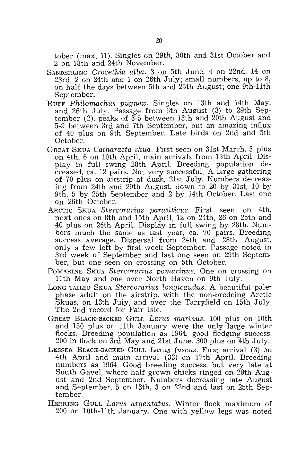tober (max. 11). Singles on 29th, 30th and 31st October and 2 on 18th and 24th November.

- SANDERLING *Crocethia alba.* 3 on 5th June. 4 on 22nd, 14 on 23rd, 2 on 24th and 1 on 26th July; small numbers, up to 8, on half the days between 5th and 25th August; one 9th-11th September.
- RUFF *Philomachus pugnax.* Singles on 13th and 14th May, and 26th July. Passage from 6th August (3) to 29th September (2), peaks of 3-5 between 13th and 20th August and 5-9 between 3rd and 7th September, but an amazing influx of 40 plus on 9th September. Late birds on 2nd and 5th October.
- GREAT SKUA *Catharacta skua.* First seen on 31st March, 3 plus on 4th, 6 on 10th April, main arrivals from 13th April. Display in full swing 28th April. Breeding population decreased, ca. 12 pairs. Not very successful. A large gathering of 70 plus on airstrip at dusk, 21st July. Numbers decreasing from 24th and 29th August, down to 20 by 31st, 10 by 9th, 5 by 25th September and 2 by 14th October. Last one on 26th October.
- ARCTIC SKUA *Stercorarius parasiticus.* First seen on 4th, next ones on 8th and 15th April, 12 on 24th, 26 on 25th and 40 plus on 26th April. Display in full swing by 28th. Numbers much the same as last year, ca. 70 pairs. Breeding success average. Dispersal from 24th and 28th August, only a few left by first week September. Passage noted in 3rd week of September and last one seen on 29th September, but one seen on crossing on 5th October.
- POMARINE SKUA *Stercorarius pomarinus.* One on crossing on 11th May and one over North Haven on 9th July.
- Long-Tailed Skua *Stercorarius longicaudus*. A beautiful palephase adult on the airstrip, with the non-bredeing Arctic Skuas, on 13th July, and over the Tarryfield on 15th July. The 2nd record for Fair Isle.
- GREAT BLACK-BACKED GULL *Larus marinus.* 100 plus on 10th and 150 plus on 11th January were the only large winter flocks. Breeding population as 1964, good fledging success. 200 in flock on 3rd May and 21st June. 300 plus on 4th July.
- LESSER BLACK-BACKED GULL *Larus fuscus.* First arrival (3) on 4th April and main arrival (33) on 17th April. Breeding numbers as 1964. Good breeding success, but very late at South Gavel, where half grown chicks ringed on 29th August and 2nd September. Numbers decreasing late August and September, 5 on 13th, 3 on 22nd and last on 25th September.
- HERRING GULL *Larus argentatus.* Winter flock maximum of 200 on 10th-11th January. One with yellow legs was noted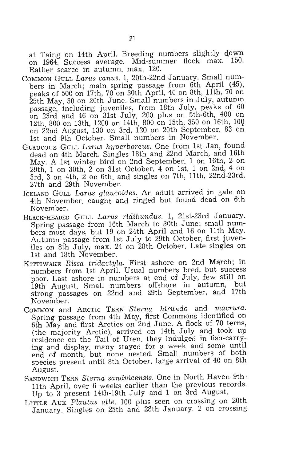at Taing on 14th April. Breeding numbers slightly down on 1964. Success average. Mid-summer flock max. 150. Rather scarce in autumn, max. 120.

- COMMON GULL *Larus canus.* 1, 20th-22nd January. Small numbers in March; main spring passage from 6th April (45), peaks of 500 on 17th, 70 on 30th April, 40 on 8th, 11th, 70 on 25th May, 30 on 20th June. Small numbers in July, autumn passage, including juveniles, from 18th July, peaks of 60 on 23rd and 46 on 31st July, 200 plus on 5th-6th, 400 on 12th, 800 on 13th, 1200 on 14th, 800 on 15th, 350 on 16th, 10Q on 22nd August, 130 On 3rd, 120 on 20th September, 83 on 1st and 9th October. Small numbers in November.
- GLAUCOUS GULL *Larus hyperboreus.* One from 1st Jan, found dead on 4th March. Singles 18th and 22nd March, and 16th May. A 1st winter bird on 2nd September. 1 on 16th, 2 on 29th, 1 on 30th, 2 on 31st October, 4 on 1st, 1 on 2nd, 4 on 3rd, 3 on 4th, 2 on 6th, and singles on 7th, 11th, 22nd-23rd, 27th and 29th November.
- ICELAND GULL *Larus glaucoides.* An adult arrived in gale on 4th November, caught and ringed but found dead on 6th November.
- BLACK-HEADED GULL *Larus ridibundus.* 1, 21st-23rd January. Spring passage from 16th March to 30th June; small numbers most days, but 19 on 24th April and 16 on 11th May. Autumn passage from 1st July to 29th October, first juveniles on 8th July, max. 24 on 28th October. Late singles on 1st and 18th November.
- KITTIWAKE *Rissa tridactyla.* First ashore on 2nd March; in numbers from 1st April. Usual numbers bred, but success poor. Last ashore in numbers at end of July, few still on 19th August. Small numbers offshore in autumn, but strong passages on 22nd and 29th September, and 17th November.
- COMMON and ARCTIC TERN *Sterna hirundo* and *macrura.*  Spring passage from 4th May, first Commons identified on 6th May and first Arctics on 2nd June. A flock of 70 terns, (the majority Arctic), arrived on 14th July and took up residence on the Tail of Uren, they indulged in fish-carrying and display, many stayed for a week and some until end of month, but none nested. Small numbers of both species present until 8th October, large arrival of 40 on 8th August.
- SANDWICH TERN *Sterna sandvicensis.* One in North Haven 9th-11th April, over 6 weeks earlier than the previous records. Up to 3 present 14th-19th July and 1 on 3rd August.
- LITTLE AUK *Plautus alle.* 100 plus seen on crossing on 20th January. Singles on 25th and 28th January. 2 on crossing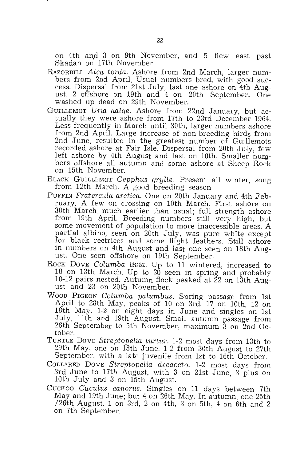on 4th and 3 on 9th November, and 5 flew east past Skadan on 17th November.

- RAZORBILL *Alca torda.* Ashore from 2nd March, larger numbers from 2nd April. Usual numbers bred, with good success. Dispersal from 21st July, last one ashore on 4th August. 2 offshore on 19th and 4 on 20th September. One washed up dead on 29th November.
- GUILLEMOT *Uria aalge.* Ashore from 22nd January, but actually they were ashore from 17th to 23rd December 1964. Less frequently in March until 30th, larger numbers ashore from 2nd April. Large increase of non-breeding birds from 2nd June, resulted in the greatest number of Guillemots recorded ashore at Fair Isle. Dispersal from 20th July, few left ashore by 4th August and last on 10th. Smaller numbers offshore all autumn and some ashore at Sheep Rock on 15th November.
- BLACK GUILLEMOT *Cepphus grylle.* Present all winter, song from 12th March. A good breeding season
- PUFFIN *Fratercula arctica.* One on 20th January and 4th February. A few On crossing on 10th March. First ashore on 30th March, much earlier than usual; full strength ashore from 19th April. Breeding numbers still very high, but some movement of population to more inaccessible areas. A partial albino, seen on 20th July, was pure white except for black rectrices and some flight feathers. Still ashore in numbers on 4th August and last one seen on 18th August. One seen offshore on 19th September.
- ROCK DOVE *Columba livia.* Up to 11 wintered, increased to  $18$  on 13th March. Up to  $20$  seen in spring and probably 10-12 pairs nested. Autumn flock peaked at 22 on 13th August and 23 on 20th November.
- WOOD PIGEON *Columba palumbus.* Spring passage from 1st April to 28th May, peaks of 10 on 3rd, 17 on 10th, 12 on 18th May. 1-2 on eight days in June and singles on 1st July, 11th and 19th August. Small autumn passage from 26th September to 5th November, maximum 3 on 2nd Oc- tober.
- TURTLE DOVE *Streptopelia turtur.* 1-2 most days from 13th to 29th May, one on 18th June. 1-2 from 30th August to 27th September, with a late juvenile from 1st to 16th October.
- COLLARED DOVE *Streptopelia decaocto.* 1-2 most days from 3rd June to 17th August, with 3 on 21st June, 3 plus on 10th July and 3 on 15th August.
- CUCKOO *Cuculus canorus.* Singles on 11 days between 7th May and 19th June; but 4 on 26th May. In autumn, one 25th /26th August. 1 on 3rd, 2 on 4th, 3 on 5th, 4 on 6th and 2 on 7th September.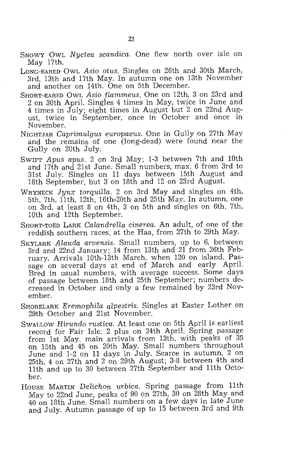- SNOWY OWL *Nyctea scandica.* One flew north over isle on May 17th.
- LONG-EARED OWL Asio otus. Singles on 26th and 30th March, 3rd, 13th and 17th May. In autumn one on 13th November and another on 14th. One on 5th December.
- SHORT-EA RED OWL *Asio flammeus.* One on 12th, 3 on 23rd and 2 on 30th April. Singles 4 times in May, twice in June and 4 times in July; eight times in August but 2 on 22nd August, twice in September, once in October and once in November.
- NIGHTJAR *CaprimuIgus europaeus.* One in Gully on 27th May and the remains of one (long-dead) were found near the Gully on 20th July.
- SWIFT *Apus apus.* 2 on 3rd May; 1-3 between 7th and 10th and 17th and 21st June. Small numbers, max. 6 from 3rd to 31st July. Singles on 11 days between 15th August and 18th September, but 3 on 18th and 12 on 23rd August.
- WRYNECK *Jynx torquilla.* 2 on 3rd May and singles on 4th, 5th, 7th, 11th, 12th, 16th-20th and 25th May. In autumn, one on 3rd, at least 8 on 4th, 3 on 5th and singles on 6th, 7th, 10th and 12th September.
- SHORT-TOED LARK *CalandreIla cinerea.* An adult, of one of the reddish southern races, at the Haa, from 27th to 29th May.
- SKYLARK *Alauda arvensis.* Small numbers, up to 6, between 3rd and 22nd January; 14 from 13th and 21 from 26th February. Arrivals 10th-13th March, when 120 On island. Passage on several days at end of March and early April. Bred in usual numbers, with average success. Some days of passage between 18th and 25th September; numbers decreased in October and only a few remained by 23rd November.
- SHORELARK *Eremophila alpestris.* Singles at Easter Lother on 29th October and 21st November.
- SWALLOW *Hirundo rustica.* At least one on 5th April is earliest record for Fair Isle. 2 plus on 24th April. Spring passage from 1st May, main arrivals from 13th, with peaks of 35 on 15th and 45 on 20th May. Small numbers throughout June and 1-2 on 11 days in July. Scarce in autumn, 2 on 25th, 4 on 27th and 2 on 29th August; 3-8 between 4th and 11th and up to 30 between 27th September and 11th October.
- HOUSE MARTIN *Delichon urbica.* Spring passage from 11th May to 22nd June, peaks of 90 on 27th, 30 on 28th May and 40 on 18th June. Small numbers on a few days in late June and July. Autumn passage of up to 15 between 3rd and 9th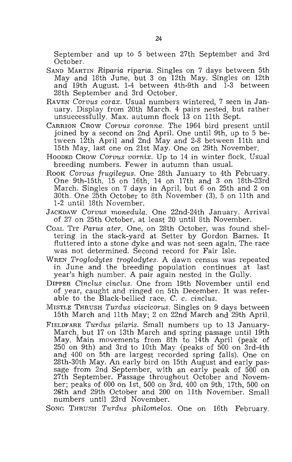September and up to 5 between 27th September and 3rd October.

- SAND MARTIN *Riparia riparia.* Singles on 7 days between 5th May and 18th June, but 3 on 12th May. Singles on 12th and 19th August. 1-4 between 4th-9th and 1-3 between 28th September and 3rd October.
- RAVEN *Corvus corax.* Usual numbers wintered, 7 seen in January. Display from 20th March. 4 pairs nested, but rather unsuccessfully. Max. autumn flock 13 on 11th Sept.
- CARRION CROW *Corvus coronne.* The 1964 bird present until joined by a second on 2nd April. One until 9th, up to 5 between 12th April and 2nd May and 2-8 between 11th and 15th May, last one on 21st May. One on 29th November.
- HOODED CROW *Corvus vornix.* Up to 14 in winter flock. Usual breeding numbers. Fewer in autumn than usual.
- Rook *Corvus frugilegus*. One 28th January to 4th February. One 9th-15th, 15 on 16th, 14 on 17th and 3 on 18th-23rd March. Singles on 7 days in April, but 6 on 25th and 2 on 30th. One 25th October to 8th November (3), 5 on 11th and 1-2 until 18th November.
- JACKDAW *Corvus monedula.* One 22nd-24th January. Arrival of 27 on 25th October, at least 20 until 8th November.
- COAL TIT Parus ater. One, on 28th October, was found sheltering in the stack-yard at Setter by Gordon Barnes. It fluttered into a stone dyke and was not seen again. The race was not determined. Second record for Fair Isle.
- WREN *Troglodytes troglodytes.* A dawn census was repeated in June and the breeding population continues at last year's high number. A pair again nested in the Gully.
- DIPPER *Cinclus cinclus.* One from 19th November until end of year, caught and ringed on 5th December. It was referable to the Black-bellied race, C. C. *cinclus.*
- MISTLE THRUSH *Turdus viscicorus.* Singles on 9 days between 15th March and 11th May; 2 on 22nd March and 29th April.
- FIELDFARE *Turdus pilaris.* Small numbers up to 13 January-March, but 17 on 13th March and spring passage until 19th May. Main movements from 8th to 14th April (peak of 250 on 9th) and 3rd to 10th May (peaks of 500 on 3rd-4th and 400 on 5th are largest recorded spring falls). One on 28th-30th May. An early bird on 15th August and early passage from 2nd September, with an early peak of 500 on 27th September. Passage throughout October and November; peaks of 600 on 1st, 500 on 3rd, 400 on 9th, 17th, 500 on 26th and 29th October and 200 on 11th November. Small numbers until 23rd November.

SONG THRUSH *Turdus philomelos.* One on 16th February.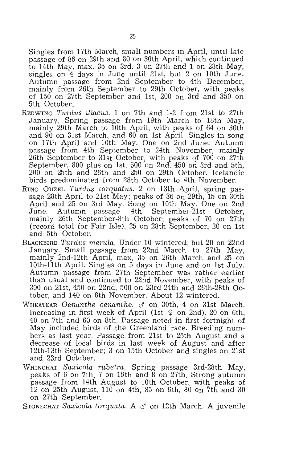Singles from 17th March, small numbers in April, until late passage of 86 on 29th and 80 on 30th April, which continued to 14th May, max. 35 on 3rd. 3 on 27th and 1 on 28th May, singles on 4 days in June until 21st, but 2 on 10th June. Autumn passage from 2nd September to 4th December, mainly from 26th September to 29th October, with peaks of 150 on 27th September and 1st, 200 on 3rd and 350 on 5th October.

- REDWING *Turdus iliacus.* 1 on 7th and 1-2 from 21st to 27th January. Spring passage from 19th March to 18th May, mainly 29th March to 10th April, with peaks of 64 on 30th and 90 on 31st March, and 60 on 1st April. Singles in song on 17th April and 10th May. One on 2nd June. Autumn passage from 4th September to 24th November, mainly  $26$ th September to  $31\mathrm{s}$ t October, with peaks of 700 on 27th September, 800 plus on 1st, 500 on 2nd, 450 on 3rd and 5th, 200 on 25th and 26th and 250 on 29th October. Icelandic birds predominated from 28th October to 4th November.
- RING OUZEL *Turdus torquatus.* 2 on 13th April, spring passage  $28\mathrm{th}$  April to  $21\mathrm{st}$  May; peaks of  $36$  on  $29\mathrm{th}$ ,  $15$  on  $30\mathrm{th}$ April and 25 on 3rd May. Song on 10th May. One on 2nd June. Autumn passage 4th September-21st October, mainly 26th September-8th October; peaks of 70 on 27th (record total for Fair Isle), 25 on 28th September, 20 on 1st and 5th October.
- BLACKBIRD *Turdus merula.* Under 10 wintered, but 20 on 22nd January. Small passage from 22nd March to 27th May, mainly 2nd-12th April, max. 35 on 26th March and 25 on 10th-11th April. Singles on 5 days in June and on 1st July. Autumn passage from 27th September was rather earlier than usual and continued to 22nd November, with peaks of 300 on 21st, 450 on 22nd, 500 on 23rd-24th and 26th-28th October, and 140 on 8th November. About 12 wintered.
- WHEATEAR *Oenanthe oenanthe. d* on 30th, 4 on 31st March, increasing in first week of April (1st  $\varphi$  on 2nd), 20 on 6th, 40 on 7th and 60 on 8th. Passage noted in first fortnight of May included birds of the Greenland race. Breeding numbers. as last year. Passage from 21st to 25th August and a decrease of local birds in last week of August and after 12th-13th September; 3 on 15th October and singles on 21st and 23rd October.
- WHINCHAT *Sax icola rubetra.* Spring passage 3rd-28th May, peaks of 6 on 7th, 7 on 19th and 8 on 27th. Strong autumn passage from 14th August to 10th October, with peaks of 12 on 25th August, 110 on 4th, 85 on 6th, 80 On 7th and 30 on 27th September.

STONECHAT *Saxicola torquata.* A *d* on 12th March. A juvenile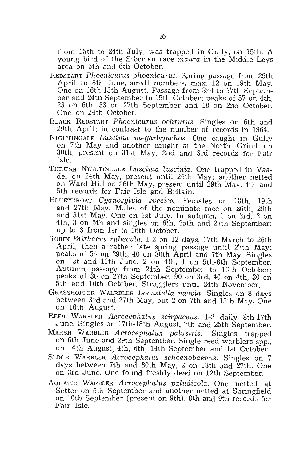from 15th to 24th July, was trapped in Gully, on 15th. A young bird of the Siberian race *maura* in the Middle Leys area on 5th and 6th October.

- REDSTART *Phoenicurus phoenicurus.* Spring passage from 29th April to 8th June, small numbers, max. 12 on 19th May. One on 16th-18th August. Passage from 3rd to 17th September and 24th September to 15th October; peaks of 57 on 4th, 23 on 6th, 33 on 27th September and 18 on 2nd October. One on 24th October.
- BLACK REDSTART *Phoenicurus ochrurus.* Singles on 6th and 29th April; in contrast to the number of records in 1964.
- NIGHTINGALE *Luscinia megarhynchos.* One caught in Gully on 7th May and another caught at the North Grind on 30th, present on 31st May. 2nd and 3rd records for Fair Isle.
- THRUSH NIGHTINGALE *LHscinia luscinia.* One trapped in Vaadel on 24th May, present until 26th May; another netted on Ward Hill on 26th May, present until 29th May. 4th and 5th records for Fair Isle and Britain.
- BLUETHROAT *Cyanosylvia svecica.* Females on 18th, 19th and 27th May. Males of the nominate race on 26th, 29th and 31st May. One on 1st July. In autumn, 1 on 3rd, 2 on 4th, 3 on 5th and singles on 6th, 25th and 27th September; up to 3 from 1st to 16th October.
- ROBIN *Erithacus rubecula.* 1-2 on 12 days, 17th March to 26th April, then a rather late spring passage until 27th May; peaks of 54 on 29th, 40 on 30th April and 7th May. Singles on 1st and 11th June. 2 on 4th, 1 on 5th-6th September. Autumn passage from 24th September to 16th October; peaks of 30 on 27th September, 90 on 3rd, 40 on 4th, 30 on 5th and 10th October. Stragglers until 24th November.
- GRASSHOPPER W ALRBLER *Locustella naevia.* Singles on 8 days between 3rd and 27th May, but 2 on 7th and 15th May. One on 16th August.
- REED WARBLER *Acrocephalus scirpaceus.* 1-2 daily 8th-17th June. Singles on 17th-18th August, 7th and 25th September.
- MARSH WARBLER *Acrocephalus palustris.* Singles trapped on 6th June and 29th September. Single reed warblers spp., on 14th August, 4th, 6th, 14th September and 1st October.
- SEDGE WARBLER *Acrocephalus schoenobaenus.* Singles on 7 days between 7th and 30th May, 2 on 13th and 27th. One on 3rd June. One found freshly dead on 12th September.
- AQUATIC WARBLER *Acrocephalus paludicola.* One netted at Setter on 5th September and another netted at Springfield on 10th September (present on 9th). 8th and 9th records for Fair Isle.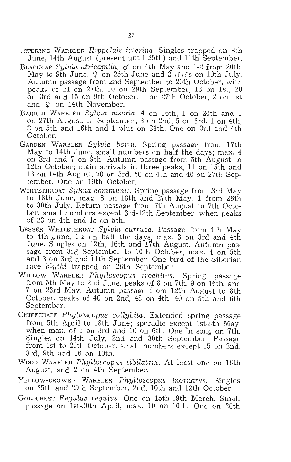- ICTERINE WARBLER *Hippolais icterina.* Singles trapped on 8th June, 14th August (present until 25th) and 11th September.
- BLACKCAP *Sylvia atricapilla. cf* on 4th May and 1-2 from 20th May to 9th June.  $\varphi$  on 25th June and 2  $\sigma \sigma s$  on 10th July. Autumn passage from 2nd September to 20th October, with peaks of 21 on 27th, 10 on 29th September, 18 on 1st, 20 on 3rd and 15 on 9th October. 1 on 27th October, 2 on 1st and  $\varphi$  on 14th November.
- BARRED WARBLER *Sylvia nisoria.* 4 on 16th, 1 on 20th and 1 on 27th August. In September, 3 on 2nd, 5 on 3rd, 1 on 4th, 2 on 5th and 16th and 1 plus on 24th. One on 3rd and 4th October.
- GARDEN WARBLER *Sylvia borin.* Spring passage from 17th May to 14th June, small numbers on half the days; max. 4 on 3rd and 7 on 9th. Autumn passage from 5th August to 12th October; main arrivals in three peaks, 11 on 13th and 18 on 14th August, 70 on 3rd, 60 on 4th and 40 on 27th September. One on 19th October.
- WHITETHROAT *Sylvia communis.* Spring passage from 3rd May to 18th June, max. 8 on 18th and  $27$ th May. 1 from  $26th$ to 30th July. Return passage from 7th August to 7th October, small numbers except 3rd-12th September, when peaks 6f 23 on 4th and 15 on 5th.
- LESSER WHITETHROAT *Sylvia curruca.* Passage from 4th May to 4th June, 1-2 on half the days, max. 3 on 3rd and 4th June. Singles on 12th, 16th and 17th August. Autumn passage from 3rd September to 10th October, max. 4 on 5th and 3 on 3rd and 11th September. One bird of the Siberian race *blythi* trapped on 26th September.
- WILLOW WARBLER *Phylloscopus trochilus.* Spring passage from 5th May to 2nd June, peaks of 8 on 7th, 9 on 16th, and 7 on 23rd May. Autumn passage from 12th August to 8th October, peaks of 40 on 2nd, 48 on 4th, 40 on 5th and 6th September.
- CHIFFCHAFF *Phylloscopus collybita.* Extended spring passage from 5th April to 18th June; sporadic except 1st-8th May, when max. of 8 on 3rd and 10 on 6th. One in song on 7th. Singles on 14th July, 2nd and 30th September. Passage from 1st to 20th October, small numbers except 15 on 2nd, 3rd, 9th and 16 on 10th.
- Wood WARBLER Phylloscopus sibilatrix. At least one on 16th August, and 2 on 4th September.
- YELLOW-BROWED WARBLER *Phylloscopus inornatus.* Singles on 25th and 29th September, 2nd, 10th and 12th October.
- GOLDCREST *Regulus regulus.* One on 15th-19th March. Small passage on 1st-30th April, max. 10 on 10th. One on 20th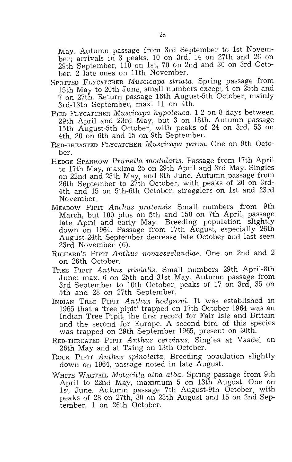May. Autumn passage from 3rd September to 1st November; arrivals in 3 peaks, 10 on 3rd, 14 on 27th and 26 on 29th September, 110 on 1st, 70 on 2nd and 30 on 3rd October. 2 late ones on 11th November.

- SPOTTED FLYCATCHER *Muscicapa striata.* Spring passage from 15th May to 20th June, small numbers except 4 on 25th and 7 on 27th. Return passage 16th August-5th October, mainly 3rd-13th September, max. 11 on 4th.
- PIED FLYCATCHER *Muscicapa hypoleuca.* 1-2 on 8 days between 29th April and 23rd May, but 3 on 18th. Autumn passage 15th August-5th October, with peaks of 24 on 3rd, 53 on 4th, 20 on 6th and 15 on 9th September.
- RED-BREASTED FLYCATCHER *Muscicapa parva.* One on 9th October.
- HEDGE SPARROW *Prunella modularis.* Passage from 17th April to 17th May, maxima 25 on 29th April and 3rd May. Singles on 22nd and 28th May, and 8th June. Autumn passage from 26th September to 27th October, with peaks of 20 on 3rd~ 4th and 15 on 5th-6th October, stragglers on 1st and 23rd November.
- MEADOW PIPIT *Anthus pratensis.* Small numbers from 9th March, but 100 plus on 5th and 150 on 7th April, passage late April and early May. Breeding population slightly down on 1964. Passage from 17th August, especially 26th August-24th September decrease late October and last seen 23rd November (6).
- RICHARD'S PIPIT *Anthus novaeseelandiae.* One on 2nd and 2 on 26th October.
- TREE PIPIT *Anthus trivialis.* Small numbers 29th April-8th June; max. 6 on 25th and 31st May. Autumn passage from 3rd September to 10th October, peaks of 17 on 3rd, 35 on 5th and 28 on 27th September.
- INDIAN TREE PIPIT *Anthus hodgsoni.* It was established in 1965 that a 'tree pipit' trapped on 17th October 1964 was an Indian Tree Pipit, the first record for Fair Isle and Britain and the second for Europe. A second bird of this species was trapped on 29th September 1965, present on 30th.
- RED-THROATED PIPIT *Anthus cervinus.* Singles at Vaadel on 26th May and at Taing on 13th October.
- ROCK PIPIT Anthus spinoletta. Breeding population slightly down on 1964, passage noted in late August.
- WHITE WAGTAIL *Motacilla alba alba.* Spring passage from 9th April to 22nd May, maximum 5 on 13th August. One on 1st June. Autumn passage 7th August-9th October, with peaks of 28 on 27th, 30 on 28th August and 15 on 2nd September. 1 on 26th October.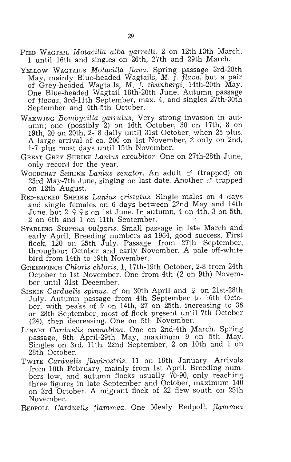- PIED WAGTAIL *Motacilla alba yarrelli*. 2 on 12th-13th March, 1 until 16th and singles on 26th, 27th and 29th March.
- YELLOW WAGTAILS *Motacilla flava.* Spring passage 3rd-28th May, mainly Blue-headed Wagtails, M. *f. flava,* but a pair of Grey-headed Wagtails, *M.* f. *thunbergi,* 14th-20th May. One Blue-headed Wagtail 18th-20th June. Autumn passage of *flavas,* 3rd-11th September, max. 4, and singles 27th-30th September and 4th-5th October.
- WAXWING *Bombycilla garrulus.* Very strong invasion in autumn; one (possibly 2) on 16th October, 30 on 17th, 8 on 19th, 20 on 20th, 2-18 daily until 31st October, when 25 plus. A large arrival of ca. 200 on 1st November, 2 only on 2nd, 1-7 plus most days until 15th November.
- GREAT GREY SHRIKE *Lanius excubitor.* One on 27th-28th June, only record for the year.
- WOODCHAT SHRIKE *Lanius senator*. An adult  $\sigma$  (trapped) on 23rd May-7th June, singing on last date. Another  $\sigma$  trapped on 12th August.
- RED-BACKED SHRIKE *Lanius cristatus.* Single males on 4 days and single females on 6 days between 22nd May and 14th June, but  $2 \varphi \varphi$ s on 1st June. In autumn, 4 on 4th, 3 on 5th, 2 on 6th and 1 on 11th September.
- STARLING *Sturnus vulgaris.* Small passage in late March and early April. Breeding numbers as 1964, good success. First flock, 120 on 25th July. Passage from 27th September, throughout October and early November. A pale off-white bird from 14th to 19th November.
- GREENFINCH *Chloris chloris.* 1, 17th-19th October, 2-8 from 24th October to 1st November. One from 4th (2 on 9th) November until 31st December.
- SISKIN *Carduelis spinus.*  $\sigma$  on 30th April and  $\varphi$  on 21st-28th July. Autumn passage from 4th September to 16th October, with peaks of 9 on 14th, 27 on 25th, increasing to 36 on 28th September, most of flock present until 7th October (24), then decreasing. One on 5th November.
- LINNET *Carduelis cannabina*. One on 2nd-4th March. Spring passage, 9th April-29th May, maximum 9 on 5th May. Singles on 3rd, 11th, 22nd September. 2 on 10th and 1 on 28th October.
- TWITE *Carduelis flavirostris.* 11 on 19th January. Arrivals from 10th February, mainly from 1st April. Breeding numbers low, and autumn flocks usually 70-90, only reaching three figures in late September and October, maximum 140 on 3rd October. A migrant flock of 22 flew south on 25th November.
- REDPOLL *Carduelis flammea.* One Mealy Redpol1, *fLammea*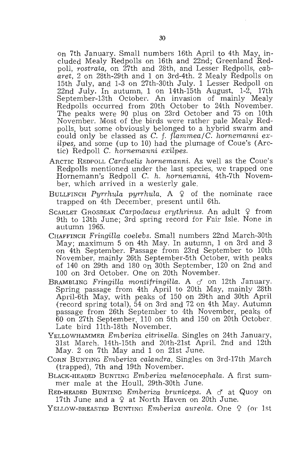On 7th January. Small numbers 16th April to 4th May, included Mealy Redpolls on 16th and 22nd; Greenland Redpoll, *rostrata*, on 27th and 28th, and Lesser Redpolls, *cabaret,* 2 on 28th-29th and 1 on 3rd-4th. 2 Mealy Redpolls on 15th July, and 1-3 on 27th-30th July. 1 Lesser Redpoll on 22nd July. In autumn, 1 on 14th-15th August, 1-2, 17th September-13th October. An invasion of mainly Mealy Redpolls occurred from 20th October to 24th November. The peaks were 90 plus on 23rd October and 75 on 10th November. Most of the birds were rather pale Mealy Redpolls, but some obviously belonged to a hybrid swarm and could only be classed as C. f. *flammea/C. hornemanni exilpes,* and some (up to 10) had the plumage of Coue's (Arctic) Redpoll C. *hornemanni exilpes*.

- ARCTIC REDPOLL *Carduelis hornemanni.* As well as the Coue's Redpolls mentioned under the last species, we trapped one Hornemann's Redpoll C. *h. hornemanni,* 4th-7th November, which arrived in a westerly gale.
- BULLFINCH *Purrhula purrhula*. A  $\Omega$  of the nominate race trapped on 4th December, present until 6th.
- SCARLET GROSBEAK *Carpodacus erythrinus*. An adult 9 from 9th to 13th June; 3rd spring record for Fair Isle. None in autumn 1965.
- CHAFF INCH *Fringilla coelebs.* Small numbers 22nd March-30th May; maximum 5 on 4th May. In autumn, 1 on 3rd and 3 on 4th September. Passage from 23rd September to 10th November, mainly 26th September-5th October, with peaks of 140 on 29th and 180 on 30th September, 120 on 2nd and 100 on 3rd October. One on 20th November.
- BRAMBLING *Fringilla montifringilla*. A c<sup>*i*</sup> on 12th January. Spring passage from 4th April to 20th May, mainly 28th April-6th May, with peaks of 150 on 29th and 30th April (record spring total), 54 on 3rd and 72 on 4th May. Autumn passage from 26th September to 4th November, peaks of 60 on 27th September, 110 on 5th and 150 on 20th October. Late bird 11th-18th November.
- YELLOWHAMMER *Emberiza citrinella*. Singles on 24th January, 31st March, 14th-15th and 20th-21st April, 2nd and 12th May. 2 on 7th May and 1 on 21st June.
- CORN BUNTING *Emberiza calandra*. Singles on 3rd-17th March (trapped), 7th and 19th November.
- BLACK-HEAQED BUNTING *Emberiza melanocephala.* A first summer male at the Houll, 29th-30th June.

RED-HEADED BUNTING *Emberiza bruniceps.* A cf at Quoy on 17th June and a  $\Omega$  at North Haven on 20th June.

YELLOW-BREASTED BUNTING *Emberiza aureola*. One 9 (or 1st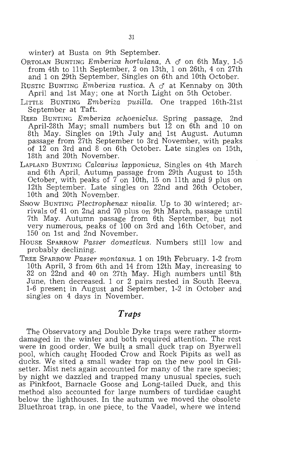winter) at Busta on 9th September.

- ORTOLAN BUNTING *Emberiza hortulana*. A c<sup>*f*</sup> on 6th May. 1-5 from 4th to 11th September, 2 on 13th, 1 on 26th, 4 on 27th and 1 on 29th September. Singles on 6th and 10th October.
- Rustic Bunting *Emberiza rustica*. A  $\sigma$  at Kennaby on 30th April and 1st May; one at North Light on 5th October.
- LITTLE BUNTING *Emberiza pusilla.* One trapped 16th-21st September at Taft.
- REED BUNTING *Emberiza schoeniclus.* Spring passage, 2nd . April-28th May; small numbers but 12 on 6th and 10 on 8th May. Singles on 19th July and 1st August. Autumn passage from 27th September to 3rd November, with peaks of 12 on 3rd and 8 on 6th October. Late singles on 15th, 18th and 20th November.
- LAPLAND BUNTING *Calcarius lapponicus.* Singles on 4th March and 6th April. Autumn passage from 29th August to 15th October, with peaks of  $\overline{7}$  on 10th, 15 on 11th and 9 plus on 12th September. Late singles on 22nd and 26th October, 10th and 20th November.
- SNOW BUNTING *Plectrophenax nivalis.* Up to 30 wintered; arrivals of 41 on 2nd and 70 plus on 9th March, passage until 7th May. Autumn passage from 6th September, but not very numerous, peaks of 100 on 3rd and 16th October, and 150 on 1st and 2nd November.
- HOUSE SPARROW *Passer domesticus.* Numbers still low and probably declining.
- TREE SPARROW *Passer montanus.* 1 on 19th February. 1-2 from 10th April, 3 from 6th and 14 from 12th May, increasing to 32 on 22nd and 40 on 27th May. High numbers until 8th June, then decreased. 1 or 2 pairs nested in South Reeva.<br>1-6 present in August and September, 1-2 in October and singles on 4 days in November.

## *Traps*

The Observatory and Double Dyke traps were rather stormdamaged in the winter and both required attention. The rest were in good order. We built a small duck trap on Byerwell pool, which caught Hooded Crow and Rock Pipits as well as ducks. We sited a small wader trap on the new pool in Gilsetter. Mist nets again accounted for many of the rare species; by night we dazzled and trapped many unusual species, such as Pinkfoot, Barnacle Goose and Long-tailed Duck, and this method also accounted for large numbers of turdidae caught below the lighthouses. In the autumn we moved the obsolete Bluethroat trap, in one piece, to the Vaadel, where we intend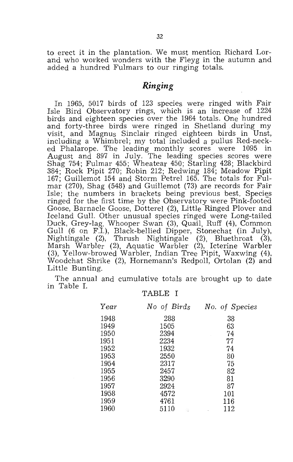to erect it in the plantation. We must mention Richard Lorand who worked wonders with the Fleyg in the autumn and added a hundred Fulmars to our ringing totals.

### *Ringing*

In 1965, 5017 birds of 123 species were ringed with Fair Isle Bird Observatory rings, which is an increase of 1224 birds and eighteen species over the 1964 totals. One hundred and forty-three birds were ringed in Shetland .during my visit, and Magnus Sinclair ringed eighteen birds in Unst, including a Whimbrel; my total included a pullus Red-necked Phalarope. The leading monthly scores were 1095 in August and 897 in JUly. The leading species scores were Shag 754; Fulmar 455; Wheatear 450; Starling 428; Blackbird 384; Rock Pipit 270; Robin 212; Redwing 184; Meadow Pipit 167; Guillemot 154 and Storm Petrel 165. The totals for Fulmar (270), Shag (548) and Guillemot (73) are records for Fair Isle; the numbers in brackets being previous best. Species ringed for the first time by the Observatory were Pink-footed Goose, Barnacle Goose, Dotterel (2), Little Ringed Plover and Iceland Gull. Other unusual species ringed were Long-tailed Duck, Grey-lag, Whooper Swan (3), Quail, Ruff (4), Common Gull (6 on F.I.), Black-bellied Dipper, Stonechat (in July), Nightingale (2), Thrush Nightingale (2), Bluethroat (3), Marsh Warbler (2), Aquatic Warbler (2), Icterine Warbler (3), Yellow-browed Warbler, Indian Tree Pipit, Waxwing (4), Woodchat Shrike (2), Hornemann's Redpoll, Ortolan (2) and Little Bunting.

The annual and cumulative totals are brought up to date in Table I.

#### TABLE I

| Year | No of Birds       | No. of Species |
|------|-------------------|----------------|
| 1948 | 288               | 38             |
| 1949 | 1505              | 63             |
| 1950 | 2394              | 74             |
| 1951 | 2234              | 77             |
| 1952 | 1932              | 74             |
| 1953 | 2550              | 80             |
| 1954 | 2317              | 75             |
| 1955 | 2457              | 82             |
| 1956 | 3290              | 81             |
| 1957 | 2924              | 87             |
| 1958 | 4572              | 101            |
| 1959 | 4761              | 116            |
| 1960 | 5110<br><b>CD</b> | 112            |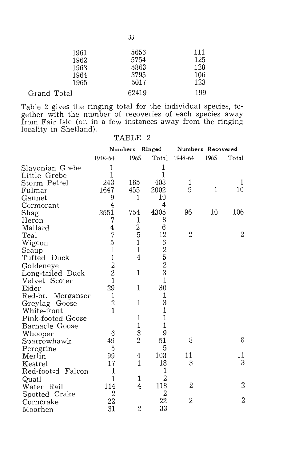| 5656  | 111 |
|-------|-----|
| 5754  | 125 |
| 5863  | 120 |
| 3795  | 106 |
| 5017  | 123 |
| 62419 | 199 |
|       |     |

Table 2 gives the ringing total for the individual species, together with the number of recoveries of each species away from Fair Isle (or, in a few instances away from the ringing locality in Shetland).

|                      |                | Numbers Ringed |                             | Numbers Recovered |      |                |
|----------------------|----------------|----------------|-----------------------------|-------------------|------|----------------|
|                      | 1948-64        | 1965           | Total                       | 1948-64           | 1965 | Total          |
| Slavonian Grebe      | 1              |                | 1                           |                   |      |                |
| Little Grebe         | 1              |                | 1                           |                   |      |                |
| Storm Petrel         | 243            | 165            | 408                         | 1                 |      | T              |
| Fulmar               | 1647           | 455            | 2002                        | 9                 | 1    | 10             |
| Gannet               | 9              | 1              | 10                          |                   |      |                |
| Cormorant            | $\overline{4}$ |                | 4                           |                   |      |                |
| Shag                 | 3551           | 754            | 4305                        | 96                | 10   | 106            |
| Heron                | 7              | 1              | 8                           |                   |      |                |
| Mallard              | $\frac{4}{7}$  | $\frac{2}{5}$  | 6                           |                   |      |                |
| Teal                 |                |                | 12                          | $\mathbf{2}$      |      | 2              |
| Wigeon               | $\overline{5}$ | $\mathbf 1$    | 6                           |                   |      |                |
| Scaup                | $\mathbf{1}$   | $\mathbf{1}$   |                             |                   |      |                |
| Tufted Duck          | $\mathbf{1}$   | $\overline{4}$ | $\frac{2}{5}$ $\frac{5}{3}$ |                   |      |                |
| Goldeneye            | $\frac{2}{2}$  |                |                             |                   |      |                |
| Long-tailed Duck     |                | 1              |                             |                   |      |                |
| Velvet Scoter        | $\overline{1}$ |                | $\mathbf{1}$                |                   |      |                |
| Eider                | 29             | 1              | 30                          |                   |      |                |
| Red-br.<br>Merganser | $\mathbf{1}$   |                | $\mathbf 1$                 |                   |      |                |
| Greylag Goose        | $\overline{2}$ | 1              | 3                           |                   |      |                |
| White-front          | $\mathbf{1}$   |                | $\mathbf{1}$                |                   |      |                |
| Pink-footed Goose    |                | 1              | 1                           |                   |      |                |
| Barnacle Goose       |                | $\mathbf 1$    | $\mathbf{1}$                |                   |      |                |
| Whooper              | 6              | 3              | 9                           |                   |      |                |
| Sparrowhawk          | 49             | $\overline{2}$ | 51                          | 8                 |      | 8              |
| Peregrine            | 5              |                | 5                           |                   |      |                |
| Merlin               | 99             | 4              | 103                         | 11                |      | 11             |
| Kestrel              | 17             | 1              | 18                          | 3                 |      | 3              |
| Red-footed Falcon    | 1              |                | 1                           |                   |      |                |
| Quail                | 1              | 1              | $\overline{2}$              |                   |      |                |
| Water Rail           | 114            | $\overline{4}$ | 118                         | $\overline{2}$    |      | 2              |
| Spotted Crake        | $\overline{2}$ |                | $\overline{2}$              |                   |      |                |
| Corncrake            | 22             |                | 22                          | $\overline{2}$    |      | $\overline{2}$ |
| Moorhen              | 31             | $\overline{2}$ | 33                          |                   |      |                |

#### TABLE 2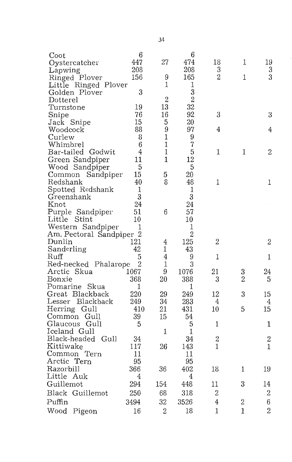| Coot                     | 6              |                | 6                 |                |                |                  |
|--------------------------|----------------|----------------|-------------------|----------------|----------------|------------------|
| Oystercatcher            | 447            | 27             | 474               | 18             | 1              | 19               |
| Lapwing                  | 208            |                | 208               | 3              |                | 3                |
| Ringed Plover            | 156            | 9              | 165               | $\overline{2}$ | 1              | 3                |
| Little Ringed Plover     |                | 1              | $\mathbf{1}$      |                |                |                  |
| Golden Plover            | 3              |                | 3                 |                |                |                  |
| Dotterel                 |                | $\overline{2}$ | $\overline{2}$    |                |                |                  |
| Turnstone                | 19             | 13             | 32                |                |                |                  |
| Snipe                    | 76             | 16             | 92                | 3              |                | 3                |
| Jack Snipe               | 15             | 5              | 20                |                |                |                  |
| Woodcock                 | 88             | 9              | 97                | 4              |                | 4                |
| Curlew                   | 8              | 1              | 9                 |                |                |                  |
| Whimbrel                 | $\,6$          | 1              | 7                 |                |                |                  |
| Bar-tailed Godwit        | 4              | $\mathbf 1$    | 5                 | 1              | 1              | $\overline{2}$   |
| Green Sandpiper          | 11             | $\mathbf{1}$   | 12                |                |                |                  |
| Wood Sandpiper           | 5              |                | 5                 |                |                |                  |
| Common                   | 15             |                | 20                |                |                |                  |
| Sandpiper<br>Redshank    | 40             | 5<br>8         | 48                | 1              |                | 1                |
|                          | 1              |                |                   |                |                |                  |
| Spotted Redshank         | 3              |                | $\mathbf{1}$<br>3 |                |                |                  |
| Greenshank               |                |                |                   |                |                |                  |
| Knot                     | 24             |                | 24                |                |                |                  |
| Purple Sandpiper         | 51             | 6              | 57                |                |                |                  |
| Little Stint             | 10             |                | 10                |                |                |                  |
| Western Sandpiper        | 1              |                | 1                 |                |                |                  |
| Am. Pectoral Sandpiper 2 |                |                | $\overline{2}$    |                |                |                  |
| Dunlin                   | 121            | 4              | 125               | $\overline{2}$ |                | $\mathbf{2}$     |
| Sanderling               | 42             | 1              | 43                |                |                |                  |
| Ruff                     | 5              | 4              | 9                 | 1              |                | 1                |
| Red-necked Phalarope     | $\overline{2}$ | 1              | 3                 |                |                |                  |
| Arctic Skua              | 1067           | 9              | 1076              | 21             | 3              | 24               |
| Bonxie                   | 368            | 20             | 388               | 3              | $\overline{2}$ | 5                |
| Pomarine Skua            | 1              |                | 1                 |                |                |                  |
| Great Blackback          | 220            | 29             | 249               | 12             | 3              | 15               |
| Lesser<br>Blackback      | 249            | 34             | 283               | 4              |                | 4                |
| Herring Gull             | 410            | 21             | 431               | 10             | 5              | 15               |
| Common<br>Gull           | 39             | 15             | 54                |                |                |                  |
| Glaucous Gull            | 5              |                | 5                 | 1              |                | 1                |
| Iceland Gull             |                | 1              | 1                 |                |                |                  |
| Black-headed<br>Gull     | 34             |                | 34                | $\sqrt{2}$     |                | $\overline{2}$   |
| Kittiwake                | 117            | 26             | 143               | $\mathbf{1}$   |                | 1                |
| Common<br>Tern           | 11             |                | 11                |                |                |                  |
| Arctic Tern              | 95             |                | 95                |                |                |                  |
| Razorbill                | 366            | 36             | 402               | 18             | 1              | 19               |
| Little Auk               | 4              |                | 4                 |                |                |                  |
| Guillemot                | 294            | 154            | 448               | 11             | 3              | 14               |
| Black<br>Guillemot       | 250            | 68             | 318               | $\overline{2}$ |                | $\boldsymbol{2}$ |
| Puffin                   | 3494           | 32             | 3526              | $\overline{4}$ | $\overline{2}$ | $6\phantom{.}$   |
| Wood<br>Pigeon           | 16             | $\overline{2}$ | 18                | $\mathbf{1}$   | $\mathbf{1}$   | $\overline{2}$   |
|                          |                |                |                   |                |                |                  |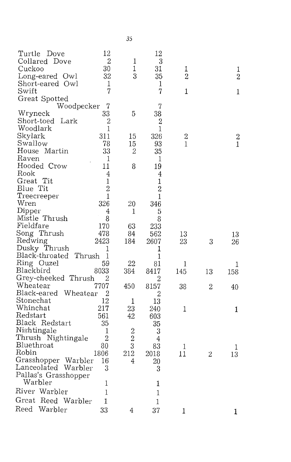| Turtle Dove                | 12             |                | 12             |                |                |                  |
|----------------------------|----------------|----------------|----------------|----------------|----------------|------------------|
| Collared Dove              | $\overline{2}$ | 1              | 3              |                |                |                  |
| Cuckoo                     | 30             | 1              | 31             | 1              |                | 1                |
| Long-eared Owl             | 32             | 3              | 35             | $\overline{2}$ |                | $\overline{2}$   |
| Short-eared Owl            | 1              |                | 1              |                |                |                  |
| Swift                      | 7              |                | $\overline{7}$ | 1              |                | 1                |
| Great Spotted              |                |                |                |                |                |                  |
| Woodpecker                 | 7              |                | $\overline{7}$ |                |                |                  |
| Wryneck                    | 33             | 5              | 38             |                |                |                  |
| Short-toed<br>Lark         | 2              |                | 2              |                |                |                  |
| Woodlark                   | 1              |                | 1              |                |                |                  |
| Skylark                    | 311            | 15             | 326            | $\mathbf 2$    |                | $\boldsymbol{2}$ |
| Swallow                    | 78             | 15             | 93             | 1              |                | $\mathbf{1}$     |
| House Martin               | 33             | 2              | 35             |                |                |                  |
| Raven                      | -1             |                | 1              |                |                |                  |
| Hooded Crow                | 11             | 8              | 19             |                |                |                  |
| Rook                       | 4              |                | $\overline{4}$ |                |                |                  |
| Great Tit                  | $\mathbf 1$    |                | 1              |                |                |                  |
| Blue Tit                   | $\overline{2}$ |                | $\overline{2}$ |                |                |                  |
| Treecreeper                | 1              |                | $\mathbf{1}$   |                |                |                  |
| Wren                       | 326            | 20             | 346            |                |                |                  |
|                            |                |                |                |                |                |                  |
| Dipper                     | 4              | 1              | 5              |                |                |                  |
| Mistle Thrush<br>Fieldfare | 8              |                | 8              |                |                |                  |
|                            | 170            | 63             | 233            |                |                |                  |
| Song Thrush                | 478            | 84             | 562            | 13             |                | 13               |
| Redwing                    | 2423           | 184            | 2607           | 23             | 3              | 26               |
| Dusky Thrush               | 1              |                | 1              |                |                |                  |
| Black-throated Thrush 1    |                |                | $\mathbf{1}$   |                |                |                  |
| Ring Ouzel                 | 59             | 22             | 81             | 1              |                | 1                |
| Blackbird                  | 8033           | 384            | 8417           | 145            | 13             | 158              |
| Grey-cheeked Thrush        | 2              |                | $\overline{2}$ |                |                |                  |
| Wheatear                   | 7707           | 450            | 8157           | 38             | $\overline{2}$ | 40               |
| Black-eared Wheatear       | 2              |                | 2              |                |                |                  |
| Stonechat                  | 12             | 1              | 13             |                |                |                  |
| Whinchat                   | 217            | 23             | 240            | 1              |                | 1                |
| Redstart                   | 561            | 42             | 603            |                |                |                  |
| Black Redstart             | 35             |                | 35             |                |                |                  |
| Nightingale                | 1              | $\overline{2}$ | 3              |                |                |                  |
| Thrush Nightingale         | $\overline{2}$ | $\overline{2}$ | 4              |                |                |                  |
| Bluethroat                 | 80             | 3              | 83             | $\mathbf{1}$   |                | 1                |
| Robin                      | 1806           | 212            | 2018           | 11             | $\overline{2}$ | 13               |
| Grasshopper Warbler        | 16             | 4              | 20             |                |                |                  |
| Lanceolated Warbler        | 3              |                | 3              |                |                |                  |
| Pallas's Grasshopper       |                |                |                |                |                |                  |
| Warbler                    | 1              |                | 1              |                |                |                  |
| River Warbler              | $\mathbf{1}$   |                | $\mathbf{1}$   |                |                |                  |
| Great Reed Warbler         | $\mathbf{1}$   |                | 1              |                |                |                  |
| Reed Warbler               | 33             | 4              | 37             | 1              |                |                  |
|                            |                |                |                |                |                | 1                |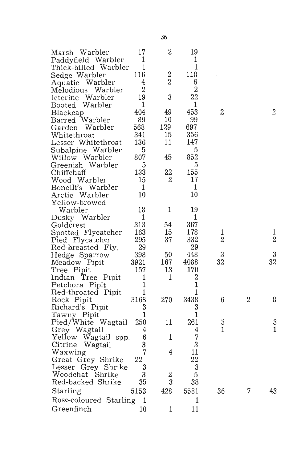| Marsh Warbler          | 17             | $\overline{2}$ | 19             |                |                  |                  |
|------------------------|----------------|----------------|----------------|----------------|------------------|------------------|
| Paddyfield Warbler     | 1              |                | 1              |                |                  |                  |
| Thick-billed Warbler   | 1              |                | 1              |                |                  |                  |
| Sedge Warbler          | 116            | $\overline{c}$ | 118            |                |                  |                  |
| Aquatic Warbler        | 4              | $\overline{2}$ | 6              |                |                  |                  |
| Melodious Warbler      | 2              |                | $\overline{2}$ |                |                  |                  |
| Warbler<br>Icterine    | 19             | 3              | 22             |                |                  |                  |
| Booted Warbler         | 1              |                | $\mathbf 1$    |                |                  |                  |
| Blackcap               | 404            | 49             | 453            | $\overline{2}$ |                  | $\overline{2}$   |
| Barred Warbler         | 89             | 10             | 99             |                |                  |                  |
| Garden Warbler         | 568            | 129            | 697            |                |                  |                  |
| Whitethroat            | 341            | 15             | 356            |                |                  |                  |
| Lesser Whitethroat     | 136            | 11             | 147            |                |                  |                  |
| Subalpine Warbler      | 5              |                | 5              |                |                  |                  |
| Willow Warbler         | 807            | 45             | 852            |                |                  |                  |
| Greenish Warbler       | 5              |                | 5              |                |                  |                  |
| Chiffchaff             | 133            | 22             | 155            |                |                  |                  |
| Wood Warbler           | 15             | 2              | 17             |                |                  |                  |
| Bonelli's Warbler      | $\mathbf 1$    |                | 1              |                |                  |                  |
| Arctic Warbler         | 10             |                | 10             |                |                  |                  |
| Yellow-browed          |                |                |                |                |                  |                  |
| Warbler                | 18             | 1              | 19             |                |                  |                  |
| Dusky Warbler          | 1              |                | $\mathbf{1}$   |                |                  |                  |
| Goldcrest              | 313            | 54             | 367            |                |                  |                  |
| Spotted Flycatcher     | 163            | 15             | 178            | 1              |                  | $\mathbf{1}$     |
| Pied Flycatcher        | 295            | 37             | 332            | $\overline{2}$ |                  | $\boldsymbol{2}$ |
| Red-breasted Fly.      | 29             |                | 29             |                |                  |                  |
| Hedge Sparrow          | 398            | 50             | 448            | 3              |                  | 3                |
| Meadow Pipit           | 3921           | 167            | 4088           | 32             |                  | 32               |
| Tree Pipit             | 157            | 13             | 170            |                |                  |                  |
| Indian Tree Pipit      | 1              | 1              | $\overline{2}$ |                |                  |                  |
| Petchora Pipit         | 1              |                | $\mathbf{1}$   |                |                  |                  |
| Red-throated Pipit     | 1              |                | 1              |                |                  |                  |
| Rock Pipit             | 3168           | 270            | 3438           | 6              | $\boldsymbol{2}$ | 8                |
| Richard's Pipit        | 3              |                | 3              |                |                  |                  |
| Tawny Pipit            | $\mathbf{1}$   |                | 1              |                |                  |                  |
| Pied/White Wagtail     | 250            | 11             | 261            | 3              |                  | 3                |
| Grey Wagtail           | 4              |                | 4              | $\mathbf 1$    |                  | 1                |
| Yellow Wagtail spp.    | 6              | 1              | 7              |                |                  |                  |
| Citrine Wagtail        | 3              |                | 3              |                |                  |                  |
| Waxwing                | $\overline{7}$ | 4              | 11             |                |                  |                  |
| Great Grey Shrike      | 22             |                | 22             |                |                  |                  |
| Lesser Grey Shrike     | 3              |                | 3              |                |                  |                  |
| Woodchat Shrike        | 3              | $\overline{2}$ | 5              |                |                  |                  |
| Red-backed Shrike      | 35             | 3              | 38             |                |                  |                  |
| Starling               | 5153           | 428            | 5581           | 36             | 7                | 43               |
| Rose-coloured Starling | 1              |                | $\mathbf{1}$   |                |                  |                  |
| Greenfinch             | 10             | 1              | 11             |                |                  |                  |
|                        |                |                |                |                |                  |                  |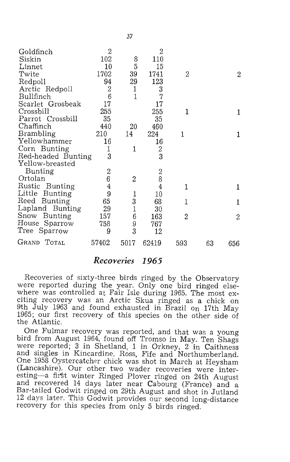| Goldfinch          | $\overline{2}$ |                | 2              |     |    |     |
|--------------------|----------------|----------------|----------------|-----|----|-----|
| Siskin             | 102            | 8              | 110            |     |    |     |
| Linnet             | 10             | 5              | 15             |     |    |     |
| Twite              | 1702           | 39             | 1741           | 2   |    | 2   |
| Redpoll            | 94             | 29             | 123            |     |    |     |
| Arctic Redpoll     | $\overline{2}$ | 1              | 3              |     |    |     |
| Bullfinch          | 6              | 1              | $\overline{7}$ |     |    |     |
| Scarlet Grosbeak   | 17             |                | 17             |     |    |     |
| Crossbill          | 255            |                | 255            | 1   |    | 1   |
| Parrot Crossbill   | 35             |                | 35             |     |    |     |
| Chaffinch          | 440            | $^{20}$        | 460            |     |    |     |
| Brambling          | 210            | 14             | 224            | 1   |    | 1   |
| Yellowhammer       | 16             |                | 16             |     |    |     |
| Corn Bunting       | 1              | 1              | $\frac{2}{3}$  |     |    |     |
| Red-headed Bunting | 3              |                |                |     |    |     |
| Yellow-breasted    |                |                |                |     |    |     |
| Bunting            | $\overline{2}$ |                | $\mathbf{2}$   |     |    |     |
| Ortolan            | 6              | $\overline{2}$ | 8              |     |    |     |
| Rustic Bunting     | $\overline{4}$ |                | 4              | 1   |    | 1   |
| Little Bunting     | 9              | 1              | 10             |     |    |     |
| Reed Bunting       | 65             |                | 68             | 1   |    | 1   |
| Lapland Bunting    | 29             | $\frac{3}{1}$  | 30             |     |    |     |
| Snow Bunting       | 157            | $\overline{6}$ | 163            | 2   |    | 2   |
| House Sparrow      | 758            | 9              | 767            |     |    |     |
| Tree Sparrow       | 9              | 3              | 12             |     |    |     |
| GRAND TOTAL        | 57402          | 5017           | 62419          | 593 | 63 | 656 |

#### *Reco'Yeries* **1965**

Recoveries of sixty-three birds ringed by the Observatory were reported during the year. Only one bird ringed elsewhere was controlled at Fair Isle during 1965. The most exciting recovery was an Arctic Skua ringed as a chick on 9th July 1963 and found exhausted in Brazil on 17th May 1965; our first recovery of this species on the other side of the Atlantic.

One Fulmar recovery was reported, and that was a young bird from August 1964, found off Tromso in May. Ten Shags were reported; 3 in Shetland, 1 in Orkney, 2 in Caithness and singles in Kincardine, Ross, Fife and Northumberland. One 1958 Oystercatcher chick was shot in March at Heysham (Lancashire). Our other two wader recoveries were interesting-a first winter Ringed Plover ringed on 24th August and recovered 14 days later near Cabourg (France) and a Bar-tailed Godwit ringed on 29th August and shot in Jutland 12 days later. This Godwit provides our second long-distance recovery for this species from only 5 birds ringed.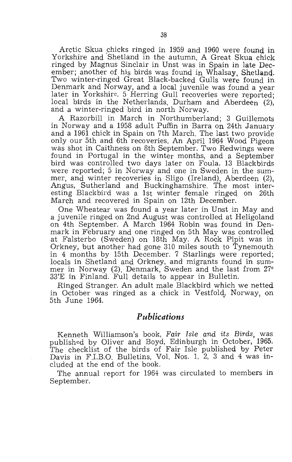Arctic Skua chicks ringed in 1959 and 1960 were found in Yorkshire and Shetland in the autumn. A Great Skua chick ringed by Magnus Sinclair in Unst was in Spain in late December; another of his birds was found in Whalsay, Shetland. Two winter-ringed Great Black-backed Gulls were found in Denmark and Norway, and a local juvenile was found a year later in Yorkshire. 5 Herring Gull recoveries were reported; local birds in the Netherlands. Durham and Aberdeen (2), and a winter-ringed bird in north Norway.

A Razorbill in March in Northumberland; 3 Guillemots in Norway and a 1958 adult Puffin in Barra on 24th January and a 1961 chick in Spain on 7th March. The last two provide only our 5th and 6th recoveries. An April 1964 Wood Pigeon was shot in Caithness on 8th September. Two Redwings were found in Portugal in the winter months, and a September bird was controlled two days later on Foula. 13 Blackbirds were reported; 5 in Norway and one in Sweden in the summer, and winter recoveries in Sligo (Ireland), Aberdeen (2), Angus, Sutherland and Buckinghamshire. The most interesting Blackbird was a 1st winter female ringed on 26th March and recovered in Spain on 12th December.

One Wheatear was found a year later in Unst in May and a juvenile ringed on 2nd August was controlled at Heligoland on 4th September. A March 1964 Robin was found in Denmark in February and one ringed on 5th May was controlled at Falsterbo (Sweden) on 18th May. A Rock Pipit was in Orkney, but another had gone 310 miles south to Tynemouth in 4 months by 15th December. 7 Starlings were reported; locals in Shetland and Orkney, and migrants found in summer in Norway (2), Denmark, Sweden and the last from 27° *33'E* in Finland. Full details to appear in Bulletin.

Ringed Stranger. An adult male Blackbird which we netted in October was ringed as a chick in Vestfold., Norway, on 5th June 1964.

#### *Publications*

Kenneth Williamson's book, *Fair Isle and its Birds*, was published by Oliver and Boyd, Edinburgh in October, 1965. The checklist of the birds of Fair Isle published by Peter Davis in F.I.B.O. Bulletins, Vol. Nos. **1,** 2, 3 and 4 was included at the end of the book.

The annual report for 1964 was circulated to members in September.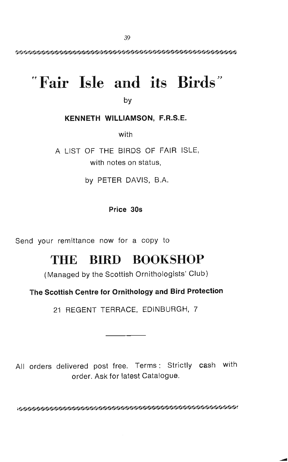# $"$  **Fair Isle and its Birds**"

by

#### **KENNETH WILLlAMSON, F.R.S.E.**

with

A LIST OF THE BIRDS OF FAIR ISLE, with notes on status,

by PETER DAVIS, B.A.

#### **Price 305**

Send your remittance now for a copy to

# THE BIRD BOOKSHOP

(Managed by the Scottish Ornithologists' Club)

#### **The Scottish Centre for Ornithology and Bird Protection**

21 REGENT TERRACE, EDINBURGH, 7

All orders delivered post free. Terms: Strictly cash with order. Ask for latest Catalogue.